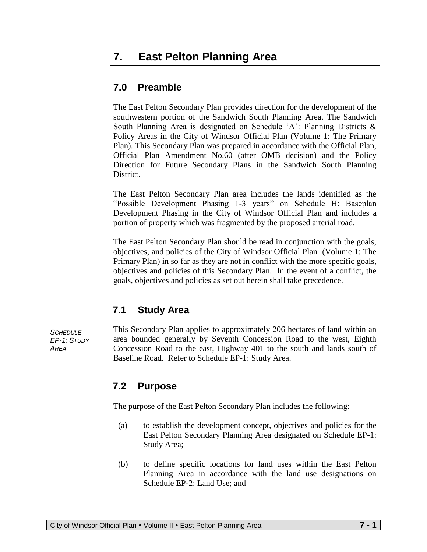# **7.0 Preamble**

The East Pelton Secondary Plan provides direction for the development of the southwestern portion of the Sandwich South Planning Area. The Sandwich South Planning Area is designated on Schedule 'A': Planning Districts & Policy Areas in the City of Windsor Official Plan (Volume 1: The Primary Plan). This Secondary Plan was prepared in accordance with the Official Plan, Official Plan Amendment No.60 (after OMB decision) and the Policy Direction for Future Secondary Plans in the Sandwich South Planning District.

The East Pelton Secondary Plan area includes the lands identified as the "Possible Development Phasing 1-3 years" on Schedule H: Baseplan Development Phasing in the City of Windsor Official Plan and includes a portion of property which was fragmented by the proposed arterial road.

The East Pelton Secondary Plan should be read in conjunction with the goals, objectives, and policies of the City of Windsor Official Plan (Volume 1: The Primary Plan) in so far as they are not in conflict with the more specific goals, objectives and policies of this Secondary Plan. In the event of a conflict, the goals, objectives and policies as set out herein shall take precedence.

# **7.1 Study Area**

*SCHEDULE EP-1: STUDY AREA*

This Secondary Plan applies to approximately 206 hectares of land within an area bounded generally by Seventh Concession Road to the west, Eighth Concession Road to the east, Highway 401 to the south and lands south of Baseline Road. Refer to Schedule EP-1: Study Area.

# **7.2 Purpose**

The purpose of the East Pelton Secondary Plan includes the following:

- (a) to establish the development concept, objectives and policies for the East Pelton Secondary Planning Area designated on Schedule EP-1: Study Area;
- (b) to define specific locations for land uses within the East Pelton Planning Area in accordance with the land use designations on Schedule EP-2: Land Use; and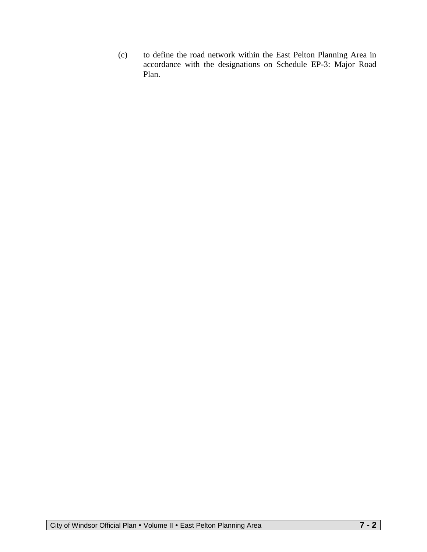(c) to define the road network within the East Pelton Planning Area in accordance with the designations on Schedule EP-3: Major Road Plan.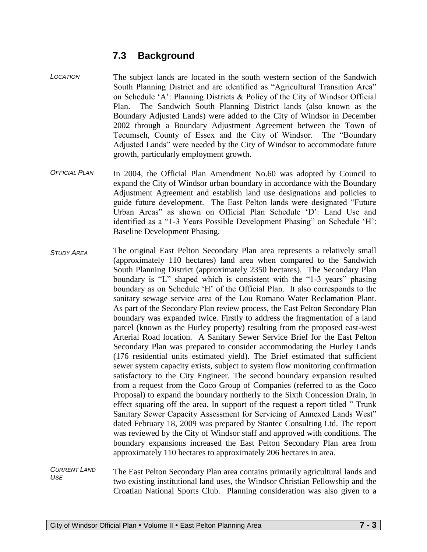# **7.3 Background**

- *LOCATION* The subject lands are located in the south western section of the Sandwich South Planning District and are identified as "Agricultural Transition Area" on Schedule 'A': Planning Districts  $\&$  Policy of the City of Windsor Official Plan. The Sandwich South Planning District lands (also known as the Boundary Adjusted Lands) were added to the City of Windsor in December 2002 through a Boundary Adjustment Agreement between the Town of Tecumseh, County of Essex and the City of Windsor. The "Boundary Adjusted Lands" were needed by the City of Windsor to accommodate future growth, particularly employment growth.
- *OFFICIAL PLAN* In 2004, the Official Plan Amendment No.60 was adopted by Council to expand the City of Windsor urban boundary in accordance with the Boundary Adjustment Agreement and establish land use designations and policies to guide future development. The East Pelton lands were designated "Future Urban Areas" as shown on Official Plan Schedule 'D': Land Use and identified as a "1-3 Years Possible Development Phasing" on Schedule 'H': Baseline Development Phasing.
- *STUDY AREA* The original East Pelton Secondary Plan area represents a relatively small (approximately 110 hectares) land area when compared to the Sandwich South Planning District (approximately 2350 hectares). The Secondary Plan boundary is "L" shaped which is consistent with the "1-3 years" phasing boundary as on Schedule 'H' of the Official Plan. It also corresponds to the sanitary sewage service area of the Lou Romano Water Reclamation Plant. As part of the Secondary Plan review process, the East Pelton Secondary Plan boundary was expanded twice. Firstly to address the fragmentation of a land parcel (known as the Hurley property) resulting from the proposed east-west Arterial Road location. A Sanitary Sewer Service Brief for the East Pelton Secondary Plan was prepared to consider accommodating the Hurley Lands (176 residential units estimated yield). The Brief estimated that sufficient sewer system capacity exists, subject to system flow monitoring confirmation satisfactory to the City Engineer. The second boundary expansion resulted from a request from the Coco Group of Companies (referred to as the Coco Proposal) to expand the boundary northerly to the Sixth Concession Drain, in effect squaring off the area. In support of the request a report titled " Trunk Sanitary Sewer Capacity Assessment for Servicing of Annexed Lands West" dated February 18, 2009 was prepared by Stantec Consulting Ltd. The report was reviewed by the City of Windsor staff and approved with conditions. The boundary expansions increased the East Pelton Secondary Plan area from approximately 110 hectares to approximately 206 hectares in area.

*CURRENT LAND USE* The East Pelton Secondary Plan area contains primarily agricultural lands and two existing institutional land uses, the Windsor Christian Fellowship and the Croatian National Sports Club. Planning consideration was also given to a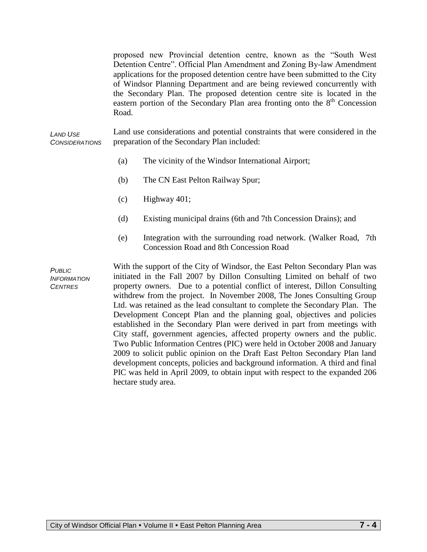proposed new Provincial detention centre, known as the "South West Detention Centre". Official Plan Amendment and Zoning By-law Amendment applications for the proposed detention centre have been submitted to the City of Windsor Planning Department and are being reviewed concurrently with the Secondary Plan. The proposed detention centre site is located in the eastern portion of the Secondary Plan area fronting onto the  $8<sup>th</sup>$  Concession Road.

*LAND USE CONSIDERATIONS* Land use considerations and potential constraints that were considered in the preparation of the Secondary Plan included:

- (a) The vicinity of the Windsor International Airport;
- (b) The CN East Pelton Railway Spur;
- (c) Highway 401;
- (d) Existing municipal drains (6th and 7th Concession Drains); and
- (e) Integration with the surrounding road network. (Walker Road, 7th Concession Road and 8th Concession Road

*PUBLIC INFORMATION CENTRES*

With the support of the City of Windsor, the East Pelton Secondary Plan was initiated in the Fall 2007 by Dillon Consulting Limited on behalf of two property owners. Due to a potential conflict of interest, Dillon Consulting withdrew from the project. In November 2008, The Jones Consulting Group Ltd. was retained as the lead consultant to complete the Secondary Plan. The Development Concept Plan and the planning goal, objectives and policies established in the Secondary Plan were derived in part from meetings with City staff, government agencies, affected property owners and the public. Two Public Information Centres (PIC) were held in October 2008 and January 2009 to solicit public opinion on the Draft East Pelton Secondary Plan land development concepts, policies and background information. A third and final PIC was held in April 2009, to obtain input with respect to the expanded 206 hectare study area.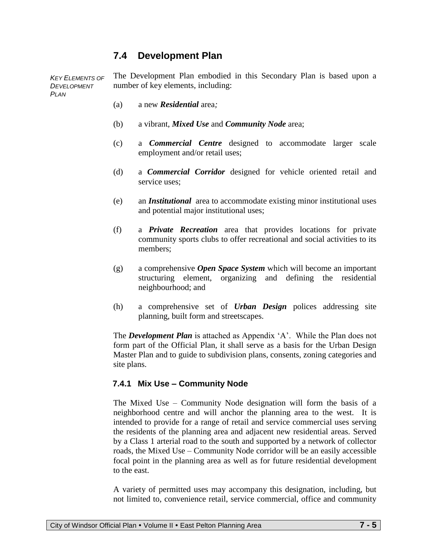# **7.4 Development Plan**

**KEY ELEMENTS OF** *DEVELOPMENT PLAN* The Development Plan embodied in this Secondary Plan is based upon a number of key elements, including:

- (a) a new *Residential* area*;*
- (b) a vibrant, *Mixed Use* and *Community Node* area;
- (c) a *Commercial Centre* designed to accommodate larger scale employment and/or retail uses;
- (d) a *Commercial Corridor* designed for vehicle oriented retail and service uses;
- (e) an *Institutional* area to accommodate existing minor institutional uses and potential major institutional uses;
- (f) a *Private Recreation* area that provides locations for private community sports clubs to offer recreational and social activities to its members;
- (g) a comprehensive *Open Space System* which will become an important structuring element, organizing and defining the residential neighbourhood; and
- (h) a comprehensive set of *Urban Design* polices addressing site planning, built form and streetscapes.

The *Development Plan* is attached as Appendix 'A'. While the Plan does not form part of the Official Plan, it shall serve as a basis for the Urban Design Master Plan and to guide to subdivision plans, consents, zoning categories and site plans.

## **7.4.1 Mix Use – Community Node**

The Mixed Use – Community Node designation will form the basis of a neighborhood centre and will anchor the planning area to the west. It is intended to provide for a range of retail and service commercial uses serving the residents of the planning area and adjacent new residential areas. Served by a Class 1 arterial road to the south and supported by a network of collector roads, the Mixed Use – Community Node corridor will be an easily accessible focal point in the planning area as well as for future residential development to the east.

A variety of permitted uses may accompany this designation, including, but not limited to, convenience retail, service commercial, office and community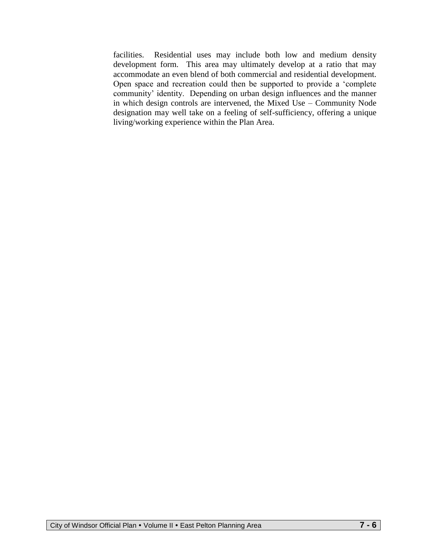facilities. Residential uses may include both low and medium density development form. This area may ultimately develop at a ratio that may accommodate an even blend of both commercial and residential development. Open space and recreation could then be supported to provide a 'complete community' identity. Depending on urban design influences and the manner in which design controls are intervened, the Mixed Use – Community Node designation may well take on a feeling of self-sufficiency, offering a unique living/working experience within the Plan Area.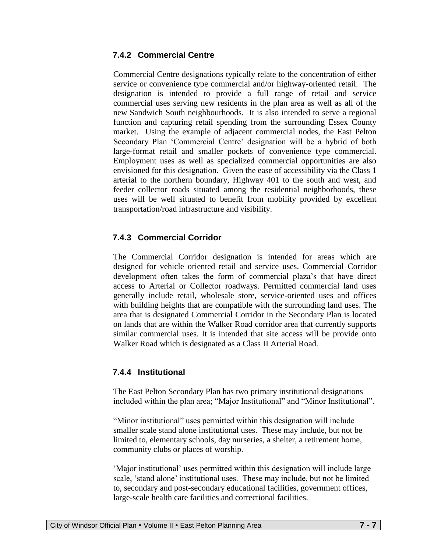## **7.4.2 Commercial Centre**

Commercial Centre designations typically relate to the concentration of either service or convenience type commercial and/or highway-oriented retail. The designation is intended to provide a full range of retail and service commercial uses serving new residents in the plan area as well as all of the new Sandwich South neighbourhoods. It is also intended to serve a regional function and capturing retail spending from the surrounding Essex County market. Using the example of adjacent commercial nodes, the East Pelton Secondary Plan 'Commercial Centre' designation will be a hybrid of both large-format retail and smaller pockets of convenience type commercial. Employment uses as well as specialized commercial opportunities are also envisioned for this designation. Given the ease of accessibility via the Class 1 arterial to the northern boundary, Highway 401 to the south and west, and feeder collector roads situated among the residential neighborhoods, these uses will be well situated to benefit from mobility provided by excellent transportation/road infrastructure and visibility.

## **7.4.3 Commercial Corridor**

The Commercial Corridor designation is intended for areas which are designed for vehicle oriented retail and service uses. Commercial Corridor development often takes the form of commercial plaza's that have direct access to Arterial or Collector roadways. Permitted commercial land uses generally include retail, wholesale store, service-oriented uses and offices with building heights that are compatible with the surrounding land uses. The area that is designated Commercial Corridor in the Secondary Plan is located on lands that are within the Walker Road corridor area that currently supports similar commercial uses. It is intended that site access will be provide onto Walker Road which is designated as a Class II Arterial Road.

## **7.4.4 Institutional**

The East Pelton Secondary Plan has two primary institutional designations included within the plan area; "Major Institutional" and "Minor Institutional".

"Minor institutional" uses permitted within this designation will include smaller scale stand alone institutional uses. These may include, but not be limited to, elementary schools, day nurseries, a shelter, a retirement home, community clubs or places of worship.

'Major institutional' uses permitted within this designation will include large scale, 'stand alone' institutional uses. These may include, but not be limited to, secondary and post-secondary educational facilities, government offices, large-scale health care facilities and correctional facilities.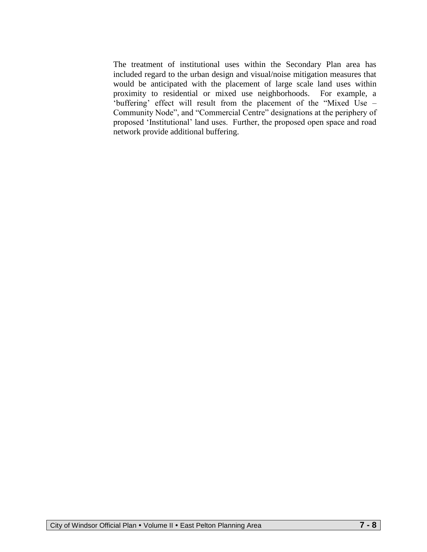The treatment of institutional uses within the Secondary Plan area has included regard to the urban design and visual/noise mitigation measures that would be anticipated with the placement of large scale land uses within proximity to residential or mixed use neighborhoods. For example, a 'buffering' effect will result from the placement of the "Mixed Use – Community Node", and "Commercial Centre" designations at the periphery of proposed 'Institutional' land uses. Further, the proposed open space and road network provide additional buffering.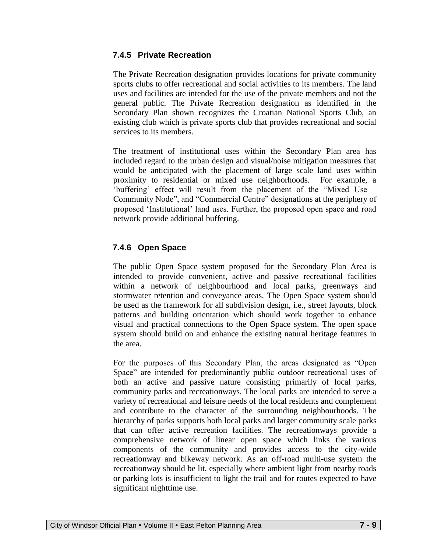## **7.4.5 Private Recreation**

The Private Recreation designation provides locations for private community sports clubs to offer recreational and social activities to its members. The land uses and facilities are intended for the use of the private members and not the general public. The Private Recreation designation as identified in the Secondary Plan shown recognizes the Croatian National Sports Club, an existing club which is private sports club that provides recreational and social services to its members.

The treatment of institutional uses within the Secondary Plan area has included regard to the urban design and visual/noise mitigation measures that would be anticipated with the placement of large scale land uses within proximity to residential or mixed use neighborhoods. For example, a 'buffering' effect will result from the placement of the "Mixed Use – Community Node", and "Commercial Centre" designations at the periphery of proposed 'Institutional' land uses. Further, the proposed open space and road network provide additional buffering.

## **7.4.6 Open Space**

The public Open Space system proposed for the Secondary Plan Area is intended to provide convenient, active and passive recreational facilities within a network of neighbourhood and local parks, greenways and stormwater retention and conveyance areas. The Open Space system should be used as the framework for all subdivision design, i.e., street layouts, block patterns and building orientation which should work together to enhance visual and practical connections to the Open Space system. The open space system should build on and enhance the existing natural heritage features in the area.

For the purposes of this Secondary Plan, the areas designated as "Open Space" are intended for predominantly public outdoor recreational uses of both an active and passive nature consisting primarily of local parks, community parks and recreationways. The local parks are intended to serve a variety of recreational and leisure needs of the local residents and complement and contribute to the character of the surrounding neighbourhoods. The hierarchy of parks supports both local parks and larger community scale parks that can offer active recreation facilities. The recreationways provide a comprehensive network of linear open space which links the various components of the community and provides access to the city-wide recreationway and bikeway network. As an off-road multi-use system the recreationway should be lit, especially where ambient light from nearby roads or parking lots is insufficient to light the trail and for routes expected to have significant nighttime use.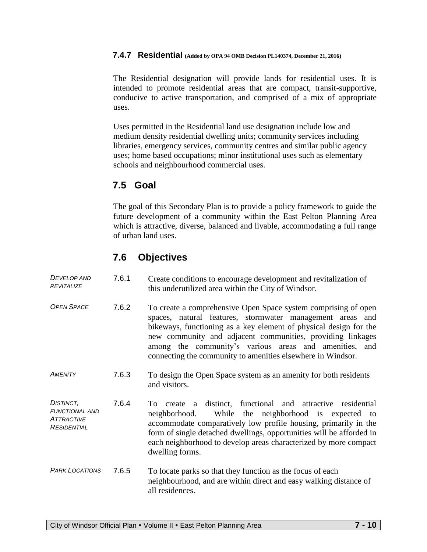#### **7.4.7 Residential (Added by OPA 94 OMB Decision PL140374, December 21, 2016)**

The Residential designation will provide lands for residential uses. It is intended to promote residential areas that are compact, transit-supportive, conducive to active transportation, and comprised of a mix of appropriate uses.

Uses permitted in the Residential land use designation include low and medium density residential dwelling units; community services including libraries, emergency services, community centres and similar public agency uses; home based occupations; minor institutional uses such as elementary schools and neighbourhood commercial uses.

# **7.5 Goal**

The goal of this Secondary Plan is to provide a policy framework to guide the future development of a community within the East Pelton Planning Area which is attractive, diverse, balanced and livable, accommodating a full range of urban land uses.

# **7.6 Objectives**

| <b>DEVELOP AND</b><br><b>REVITALIZE</b>                                       | 7.6.1 | Create conditions to encourage development and revitalization of<br>this underutilized area within the City of Windsor.                                                                                                                                                                                                                                                                    |
|-------------------------------------------------------------------------------|-------|--------------------------------------------------------------------------------------------------------------------------------------------------------------------------------------------------------------------------------------------------------------------------------------------------------------------------------------------------------------------------------------------|
| <b>OPEN SPACE</b>                                                             | 7.6.2 | To create a comprehensive Open Space system comprising of open<br>spaces, natural features, stormwater management areas<br>and<br>bikeways, functioning as a key element of physical design for the<br>new community and adjacent communities, providing linkages<br>among the community's various areas and amenities, and<br>connecting the community to amenities elsewhere in Windsor. |
| AMENITY                                                                       | 7.6.3 | To design the Open Space system as an amenity for both residents<br>and visitors.                                                                                                                                                                                                                                                                                                          |
| DISTINCT.<br><b>FUNCTIONAL AND</b><br><b>ATTRACTIVE</b><br><b>RESIDENTIAL</b> | 7.6.4 | create a distinct, functional and attractive residential<br>To<br>While the neighborhood is expected to<br>neighborhood.<br>accommodate comparatively low profile housing, primarily in the<br>form of single detached dwellings, opportunities will be afforded in<br>each neighborhood to develop areas characterized by more compact<br>dwelling forms.                                 |
| <b>PARK LOCATIONS</b>                                                         | 7.6.5 | To locate parks so that they function as the focus of each<br>neighbourhood, and are within direct and easy walking distance of<br>all residences.                                                                                                                                                                                                                                         |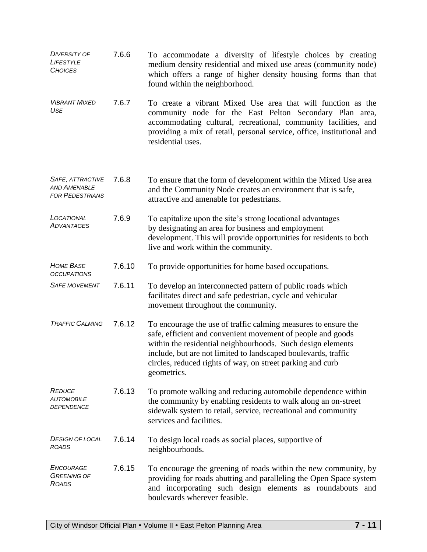| <b>DIVERSITY OF</b><br>LIFESTYLE<br><b>CHOICES</b>                | 7.6.6  | To accommodate a diversity of lifestyle choices by creating<br>medium density residential and mixed use areas (community node)<br>which offers a range of higher density housing forms than that<br>found within the neighborhood.                                                                                                          |
|-------------------------------------------------------------------|--------|---------------------------------------------------------------------------------------------------------------------------------------------------------------------------------------------------------------------------------------------------------------------------------------------------------------------------------------------|
| <b>VIBRANT MIXED</b><br><b>USE</b>                                | 7.6.7  | To create a vibrant Mixed Use area that will function as the<br>community node for the East Pelton Secondary Plan area,<br>accommodating cultural, recreational, community facilities, and<br>providing a mix of retail, personal service, office, institutional and<br>residential uses.                                                   |
| SAFE, ATTRACTIVE<br><b>AND AMENABLE</b><br><b>FOR PEDESTRIANS</b> | 7.6.8  | To ensure that the form of development within the Mixed Use area<br>and the Community Node creates an environment that is safe,<br>attractive and amenable for pedestrians.                                                                                                                                                                 |
| LOCATIONAL<br>ADVANTAGES                                          | 7.6.9  | To capitalize upon the site's strong locational advantages<br>by designating an area for business and employment<br>development. This will provide opportunities for residents to both<br>live and work within the community.                                                                                                               |
| <b>HOME BASE</b><br><b>OCCUPATIONS</b>                            | 7.6.10 | To provide opportunities for home based occupations.                                                                                                                                                                                                                                                                                        |
| <b>SAFE MOVEMENT</b>                                              | 7.6.11 | To develop an interconnected pattern of public roads which<br>facilitates direct and safe pedestrian, cycle and vehicular<br>movement throughout the community.                                                                                                                                                                             |
| <b>TRAFFIC CALMING</b>                                            | 7.6.12 | To encourage the use of traffic calming measures to ensure the<br>safe, efficient and convenient movement of people and goods<br>within the residential neighbourhoods. Such design elements<br>include, but are not limited to landscaped boulevards, traffic<br>circles, reduced rights of way, on street parking and curb<br>geometrics. |
| <b>REDUCE</b><br><b>AUTOMOBILE</b><br>DEPENDENCE                  | 7.6.13 | To promote walking and reducing automobile dependence within<br>the community by enabling residents to walk along an on-street<br>sidewalk system to retail, service, recreational and community<br>services and facilities.                                                                                                                |
| <b>DESIGN OF LOCAL</b><br><b>ROADS</b>                            | 7.6.14 | To design local roads as social places, supportive of<br>neighbourhoods.                                                                                                                                                                                                                                                                    |
| ENCOURAGE<br><b>GREENING OF</b><br><b>ROADS</b>                   | 7.6.15 | To encourage the greening of roads within the new community, by<br>providing for roads abutting and paralleling the Open Space system<br>and incorporating such design elements as roundabouts and<br>boulevards wherever feasible.                                                                                                         |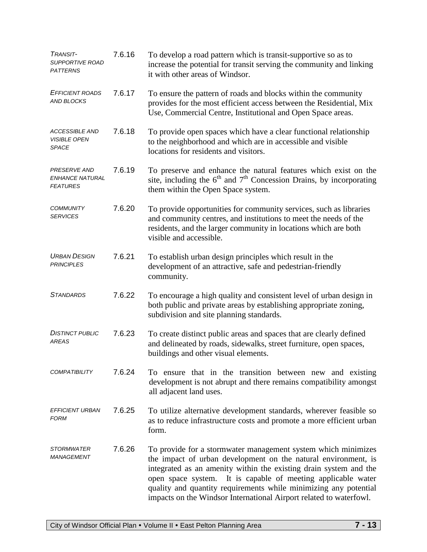| TRANSIT-<br><i>SUPPORTIVE ROAD</i><br><b>PATTERNS</b>     | 7.6.16 | To develop a road pattern which is transit-supportive so as to<br>increase the potential for transit serving the community and linking<br>it with other areas of Windsor.                                                                                                                                                                                                                                      |
|-----------------------------------------------------------|--------|----------------------------------------------------------------------------------------------------------------------------------------------------------------------------------------------------------------------------------------------------------------------------------------------------------------------------------------------------------------------------------------------------------------|
| <b>EFFICIENT ROADS</b><br><b>AND BLOCKS</b>               | 7.6.17 | To ensure the pattern of roads and blocks within the community<br>provides for the most efficient access between the Residential, Mix<br>Use, Commercial Centre, Institutional and Open Space areas.                                                                                                                                                                                                           |
| <b>ACCESSIBLE AND</b><br><b>VISIBLE OPEN</b><br>SPACE     | 7.6.18 | To provide open spaces which have a clear functional relationship<br>to the neighborhood and which are in accessible and visible<br>locations for residents and visitors.                                                                                                                                                                                                                                      |
| <b>PRESERVE AND</b><br>ENHANCE NATURAL<br><b>FEATURES</b> | 7.6.19 | To preserve and enhance the natural features which exist on the<br>site, including the $6th$ and $7th$ Concession Drains, by incorporating<br>them within the Open Space system.                                                                                                                                                                                                                               |
| <b>COMMUNITY</b><br><b>SERVICES</b>                       | 7.6.20 | To provide opportunities for community services, such as libraries<br>and community centres, and institutions to meet the needs of the<br>residents, and the larger community in locations which are both<br>visible and accessible.                                                                                                                                                                           |
| <b>URBAN DESIGN</b><br><b>PRINCIPLES</b>                  | 7.6.21 | To establish urban design principles which result in the<br>development of an attractive, safe and pedestrian-friendly<br>community.                                                                                                                                                                                                                                                                           |
| <b>STANDARDS</b>                                          | 7.6.22 | To encourage a high quality and consistent level of urban design in<br>both public and private areas by establishing appropriate zoning,<br>subdivision and site planning standards.                                                                                                                                                                                                                           |
| <b>DISTINCT PUBLIC</b><br><b>AREAS</b>                    | 7.6.23 | To create distinct public areas and spaces that are clearly defined<br>and delineated by roads, sidewalks, street furniture, open spaces,<br>buildings and other visual elements.                                                                                                                                                                                                                              |
| <b>COMPATIBILITY</b>                                      | 7.6.24 | To ensure that in the transition between new and existing<br>development is not abrupt and there remains compatibility amongst<br>all adjacent land uses.                                                                                                                                                                                                                                                      |
| <i>EFFICIENT URBAN</i><br>FORM                            | 7.6.25 | To utilize alternative development standards, wherever feasible so<br>as to reduce infrastructure costs and promote a more efficient urban<br>form.                                                                                                                                                                                                                                                            |
| <i>STORMWATER</i><br><i>MANAGEMENT</i>                    | 7.6.26 | To provide for a stormwater management system which minimizes<br>the impact of urban development on the natural environment, is<br>integrated as an amenity within the existing drain system and the<br>open space system. It is capable of meeting applicable water<br>quality and quantity requirements while minimizing any potential<br>impacts on the Windsor International Airport related to waterfowl. |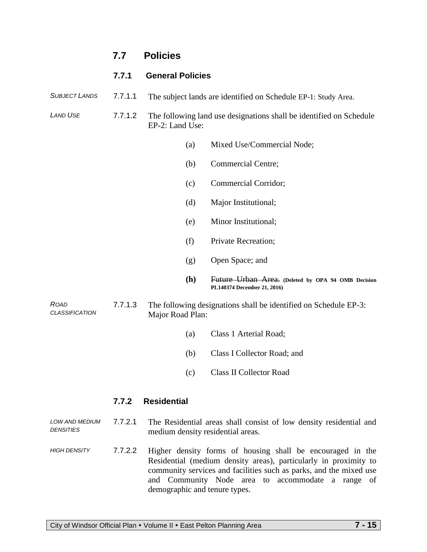# **7.7 Policies**

#### **7.7.1 General Policies**

*SUBJECT LANDS* 7.7.1.1 The subject lands are identified on Schedule EP-1: Study Area.

*LAND USE* 7.7.1.2 The following land use designations shall be identified on Schedule EP-2: Land Use:

- (a) Mixed Use/Commercial Node;
- (b) Commercial Centre;
- (c) Commercial Corridor;
- (d) Major Institutional;
- (e) Minor Institutional;
- (f) Private Recreation;
- (g) Open Space; and
- **(h)** Future Urban Area. **(Deleted by OPA 94 OMB Decision PL140374 December 21, 2016)**

*CLASSIFICATION* 7.7.1.3 The following designations shall be identified on Schedule EP-3: Major Road Plan:

- (a) Class 1 Arterial Road;
- (b) Class I Collector Road; and
- (c) Class II Collector Road

#### **7.7.2 Residential**

*ROAD* 

*LOW AND MEDIUM DENSITIES* 7.7.2.1 The Residential areas shall consist of low density residential and medium density residential areas.

*HIGH DENSITY* 7.7.2.2 Higher density forms of housing shall be encouraged in the Residential (medium density areas), particularly in proximity to community services and facilities such as parks, and the mixed use and Community Node area to accommodate a range of demographic and tenure types.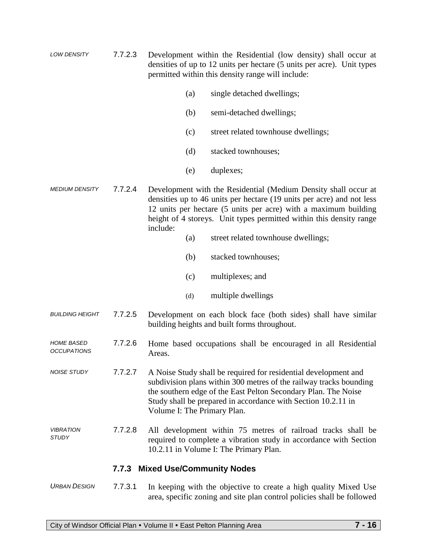- *LOW DENSITY* 7.7.2.3 Development within the Residential (low density) shall occur at densities of up to 12 units per hectare (5 units per acre). Unit types permitted within this density range will include:
	- (a) single detached dwellings;
	- (b) semi-detached dwellings;
	- (c) street related townhouse dwellings;
	- (d) stacked townhouses;
	- (e) duplexes;
- *MEDIUM DENSITY* 7.7.2.4 Development with the Residential (Medium Density shall occur at densities up to 46 units per hectare (19 units per acre) and not less 12 units per hectare (5 units per acre) with a maximum building height of 4 storeys. Unit types permitted within this density range include:
	- (a) street related townhouse dwellings;
	- (b) stacked townhouses;
	- (c) multiplexes; and
	- (d) multiple dwellings
- *BUILDING HEIGHT* 7.7.2.5 Development on each block face (both sides) shall have similar building heights and built forms throughout.
- *HOME BASED OCCUPATIONS* 7.7.2.6 Home based occupations shall be encouraged in all Residential Areas.
- *NOISE STUDY* 7.7.2.7 A Noise Study shall be required for residential development and subdivision plans within 300 metres of the railway tracks bounding the southern edge of the East Pelton Secondary Plan. The Noise Study shall be prepared in accordance with Section 10.2.11 in Volume I: The Primary Plan.
- *VIBRATION STUDY* 7.7.2.8 All development within 75 metres of railroad tracks shall be required to complete a vibration study in accordance with Section 10.2.11 in Volume I: The Primary Plan.

## **7.7.3 Mixed Use/Community Nodes**

*URBAN DESIGN* 7.7.3.1 In keeping with the objective to create a high quality Mixed Use area, specific zoning and site plan control policies shall be followed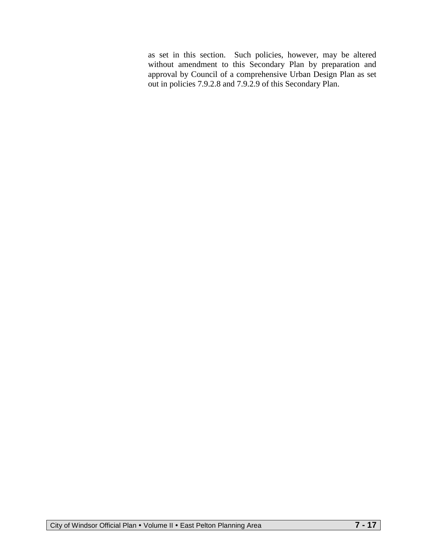as set in this section. Such policies, however, may be altered without amendment to this Secondary Plan by preparation and approval by Council of a comprehensive Urban Design Plan as set out in policies 7.9.2.8 and 7.9.2.9 of this Secondary Plan.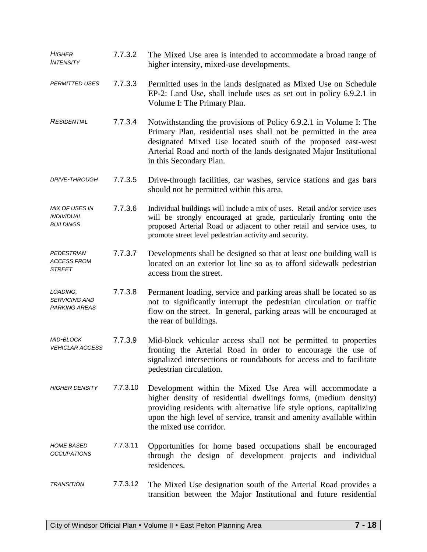| <b>HIGHER</b><br><b>INTENSITY</b>                              | 7.7.3.2  | The Mixed Use area is intended to accommodate a broad range of<br>higher intensity, mixed-use developments.                                                                                                                                                                                              |
|----------------------------------------------------------------|----------|----------------------------------------------------------------------------------------------------------------------------------------------------------------------------------------------------------------------------------------------------------------------------------------------------------|
| <b>PERMITTED USES</b>                                          | 7.7.3.3  | Permitted uses in the lands designated as Mixed Use on Schedule<br>EP-2: Land Use, shall include uses as set out in policy 6.9.2.1 in<br>Volume I: The Primary Plan.                                                                                                                                     |
| <b>RESIDENTIAL</b>                                             | 7.7.3.4  | Notwithstanding the provisions of Policy 6.9.2.1 in Volume I: The<br>Primary Plan, residential uses shall not be permitted in the area<br>designated Mixed Use located south of the proposed east-west<br>Arterial Road and north of the lands designated Major Institutional<br>in this Secondary Plan. |
| <b>DRIVE-THROUGH</b>                                           | 7.7.3.5  | Drive-through facilities, car washes, service stations and gas bars<br>should not be permitted within this area.                                                                                                                                                                                         |
| <b>MIX OF USES IN</b><br><b>INDIVIDUAL</b><br><b>BUILDINGS</b> | 7.7.3.6  | Individual buildings will include a mix of uses. Retail and/or service uses<br>will be strongly encouraged at grade, particularly fronting onto the<br>proposed Arterial Road or adjacent to other retail and service uses, to<br>promote street level pedestrian activity and security.                 |
| <b>PEDESTRIAN</b><br><b>ACCESS FROM</b><br><b>STREET</b>       | 7.7.3.7  | Developments shall be designed so that at least one building wall is<br>located on an exterior lot line so as to afford sidewalk pedestrian<br>access from the street.                                                                                                                                   |
| LOADING,<br><b>SERVICING AND</b><br><b>PARKING AREAS</b>       | 7.7.3.8  | Permanent loading, service and parking areas shall be located so as<br>not to significantly interrupt the pedestrian circulation or traffic<br>flow on the street. In general, parking areas will be encouraged at<br>the rear of buildings.                                                             |
| MID-BLOCK<br><b>VEHICLAR ACCESS</b>                            | 7.7.3.9  | Mid-block vehicular access shall not be permitted to properties<br>fronting the Arterial Road in order to encourage the use of<br>signalized intersections or roundabouts for access and to facilitate<br>pedestrian circulation.                                                                        |
| <b>HIGHER DENSITY</b>                                          | 7.7.3.10 | Development within the Mixed Use Area will accommodate a<br>higher density of residential dwellings forms, (medium density)<br>providing residents with alternative life style options, capitalizing<br>upon the high level of service, transit and amenity available within<br>the mixed use corridor.  |
| <b>HOME BASED</b><br><b>OCCUPATIONS</b>                        | 7.7.3.11 | Opportunities for home based occupations shall be encouraged<br>through the design of development projects and individual<br>residences.                                                                                                                                                                 |
| <b>TRANSITION</b>                                              | 7.7.3.12 | The Mixed Use designation south of the Arterial Road provides a<br>transition between the Major Institutional and future residential                                                                                                                                                                     |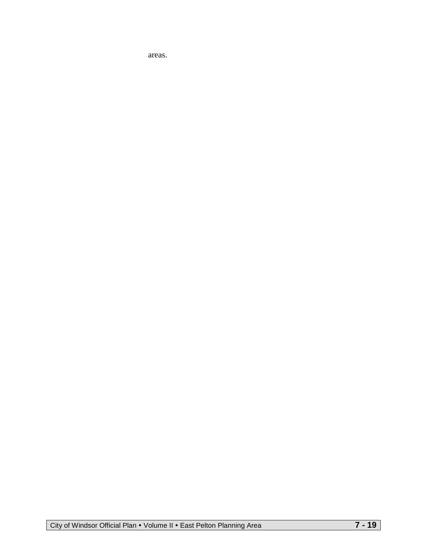areas.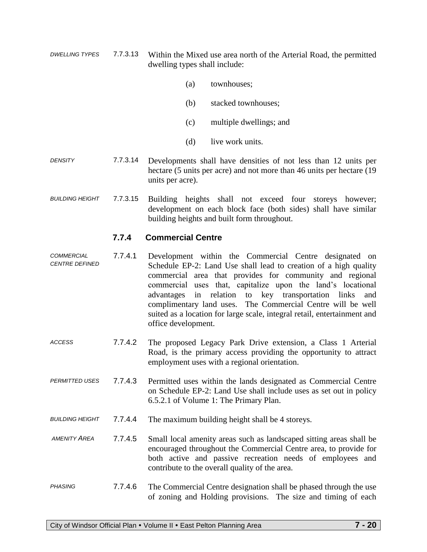- *DWELLING TYPES* 7.7.3.13 Within the Mixed use area north of the Arterial Road, the permitted dwelling types shall include:
	- (a) townhouses;
	- (b) stacked townhouses;
	- (c) multiple dwellings; and
	- (d) live work units.
- *DENSITY* 7.7.3.14 Developments shall have densities of not less than 12 units per hectare (5 units per acre) and not more than 46 units per hectare (19 units per acre).
- *BUILDING HEIGHT* 7.7.3.15 Building heights shall not exceed four storeys however; development on each block face (both sides) shall have similar building heights and built form throughout.

## **7.7.4 Commercial Centre**

- *COMMERCIAL CENTRE DEFINED* 7.7.4.1 Development within the Commercial Centre designated on Schedule EP-2: Land Use shall lead to creation of a high quality commercial area that provides for community and regional commercial uses that, capitalize upon the land's locational advantages in relation to key transportation links and complimentary land uses. The Commercial Centre will be well suited as a location for large scale, integral retail, entertainment and office development.
- *ACCESS* 7.7.4.2 The proposed Legacy Park Drive extension, a Class 1 Arterial Road, is the primary access providing the opportunity to attract employment uses with a regional orientation.
- *PERMITTED USES* 7.7.4.3 Permitted uses within the lands designated as Commercial Centre on Schedule EP-2: Land Use shall include uses as set out in policy 6.5.2.1 of Volume 1: The Primary Plan.
- *BUILDING HEIGHT* 7.7.4.4 The maximum building height shall be 4 storeys.
- *AMENITY AREA* 7.7.4.5 Small local amenity areas such as landscaped sitting areas shall be encouraged throughout the Commercial Centre area, to provide for both active and passive recreation needs of employees and contribute to the overall quality of the area.
- *PHASING* 7.7.4.6 The Commercial Centre designation shall be phased through the use of zoning and Holding provisions. The size and timing of each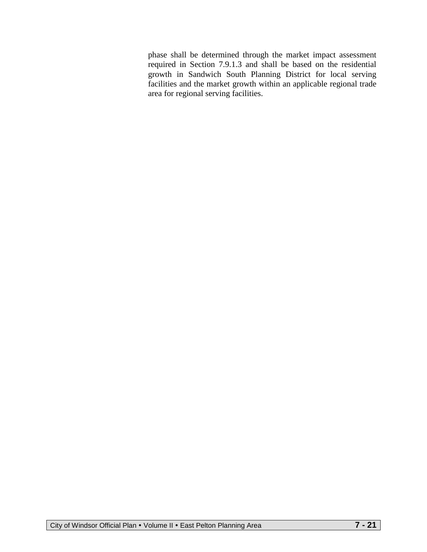phase shall be determined through the market impact assessment required in Section 7.9.1.3 and shall be based on the residential growth in Sandwich South Planning District for local serving facilities and the market growth within an applicable regional trade area for regional serving facilities.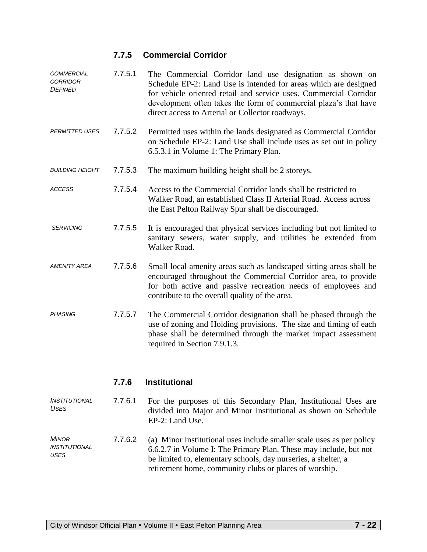## **7.7.5 Commercial Corridor**

| <b>COMMERCIAL</b><br><b>CORRIDOR</b><br>DEFINED | 7.7.5.1 | The Commercial Corridor land use designation as shown on<br>Schedule EP-2: Land Use is intended for areas which are designed<br>for vehicle oriented retail and service uses. Commercial Corridor<br>development often takes the form of commercial plaza's that have<br>direct access to Arterial or Collector roadways. |
|-------------------------------------------------|---------|---------------------------------------------------------------------------------------------------------------------------------------------------------------------------------------------------------------------------------------------------------------------------------------------------------------------------|
| <b>PERMITTED USES</b>                           | 7.7.5.2 | Permitted uses within the lands designated as Commercial Corridor<br>on Schedule EP-2: Land Use shall include uses as set out in policy<br>6.5.3.1 in Volume 1: The Primary Plan.                                                                                                                                         |
| <b>BUILDING HEIGHT</b>                          | 7.7.5.3 | The maximum building height shall be 2 storeys.                                                                                                                                                                                                                                                                           |
| <b>ACCESS</b>                                   | 7.7.5.4 | Access to the Commercial Corridor lands shall be restricted to<br>Walker Road, an established Class II Arterial Road. Access across<br>the East Pelton Railway Spur shall be discouraged.                                                                                                                                 |
| <b>SERVICING</b>                                | 7.7.5.5 | It is encouraged that physical services including but not limited to<br>sanitary sewers, water supply, and utilities be extended from<br>Walker Road.                                                                                                                                                                     |
| <b>AMENITY AREA</b>                             | 7.7.5.6 | Small local amenity areas such as landscaped sitting areas shall be<br>encouraged throughout the Commercial Corridor area, to provide<br>for both active and passive recreation needs of employees and<br>contribute to the overall quality of the area.                                                                  |
| <b>PHASING</b>                                  | 7.7.5.7 | The Commercial Corridor designation shall be phased through the<br>use of zoning and Holding provisions. The size and timing of each<br>phase shall be determined through the market impact assessment<br>required in Section 7.9.1.3.                                                                                    |

## **7.7.6 Institutional**

| INSTITUTIONAL | 7.7.6.1 | For the purposes of this Secondary Plan, Institutional Uses are                    |
|---------------|---------|------------------------------------------------------------------------------------|
| USES          |         | divided into Major and Minor Institutional as shown on Schedule<br>EP-2: Land Use. |

*MINOR INSTITUTIONAL USES* 7.7.6.2 (a) Minor Institutional uses include smaller scale uses as per policy 6.6.2.7 in Volume I: The Primary Plan. These may include, but not be limited to, elementary schools, day nurseries, a shelter, a retirement home, community clubs or places of worship.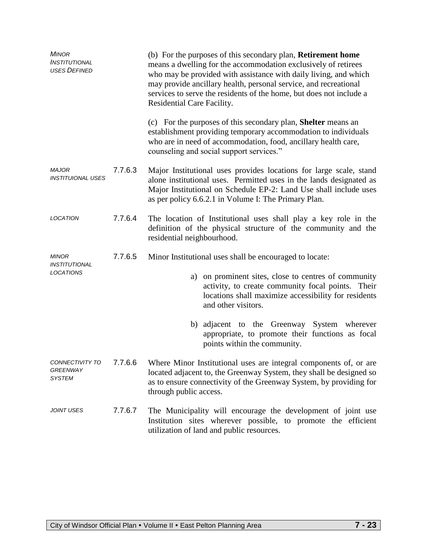| <b>MINOR</b><br>INSTITUTIONAL<br><b>USES DEFINED</b> |         | (b) For the purposes of this secondary plan, <b>Retirement home</b><br>means a dwelling for the accommodation exclusively of retirees<br>who may be provided with assistance with daily living, and which<br>may provide ancillary health, personal service, and recreational<br>services to serve the residents of the home, but does not include a<br>Residential Care Facility. |
|------------------------------------------------------|---------|------------------------------------------------------------------------------------------------------------------------------------------------------------------------------------------------------------------------------------------------------------------------------------------------------------------------------------------------------------------------------------|
|                                                      |         | (c) For the purposes of this secondary plan, <b>Shelter</b> means an<br>establishment providing temporary accommodation to individuals<br>who are in need of accommodation, food, ancillary health care,<br>counseling and social support services."                                                                                                                               |
| <b>MAJOR</b><br><b>INSTITUIONAL USES</b>             | 7.7.6.3 | Major Institutional uses provides locations for large scale, stand<br>alone institutional uses. Permitted uses in the lands designated as<br>Major Institutional on Schedule EP-2: Land Use shall include uses<br>as per policy 6.6.2.1 in Volume I: The Primary Plan.                                                                                                             |
| <b>LOCATION</b>                                      | 7.7.6.4 | The location of Institutional uses shall play a key role in the<br>definition of the physical structure of the community and the<br>residential neighbourhood.                                                                                                                                                                                                                     |
| <b>MINOR</b><br><b>INSTITUTIONAL</b>                 | 7.7.6.5 | Minor Institutional uses shall be encouraged to locate:                                                                                                                                                                                                                                                                                                                            |
| LOCATIONS                                            |         | a) on prominent sites, close to centres of community<br>activity, to create community focal points. Their<br>locations shall maximize accessibility for residents<br>and other visitors.                                                                                                                                                                                           |
|                                                      |         | b) adjacent to the Greenway System wherever<br>appropriate, to promote their functions as focal<br>points within the community.                                                                                                                                                                                                                                                    |
| CONNECTIVITY TO<br><b>GREENWAY</b><br><b>SYSTEM</b>  |         | 7.7.6.6 Where Minor Institutional uses are integral components of, or are<br>located adjacent to, the Greenway System, they shall be designed so<br>as to ensure connectivity of the Greenway System, by providing for<br>through public access.                                                                                                                                   |
| <b>JOINT USES</b>                                    | 7.7.6.7 | The Municipality will encourage the development of joint use<br>Institution sites wherever possible, to promote the efficient<br>utilization of land and public resources.                                                                                                                                                                                                         |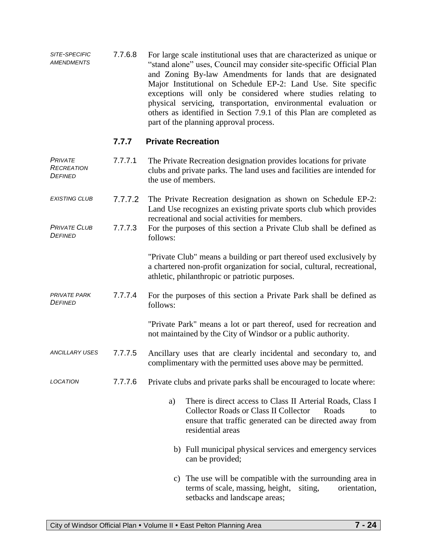*SITE-SPECIFIC AMENDMENTS* 7.7.6.8 For large scale institutional uses that are characterized as unique or "stand alone" uses, Council may consider site-specific Official Plan and Zoning By-law Amendments for lands that are designated Major Institutional on Schedule EP-2: Land Use. Site specific exceptions will only be considered where studies relating to physical servicing, transportation, environmental evaluation or others as identified in Section 7.9.1 of this Plan are completed as part of the planning approval process.

#### **7.7.7 Private Recreation**

| <b>PRIVATE</b><br>RECREATION<br>DEFINED | 7.7.7.1 | The Private Recreation designation provides locations for private<br>clubs and private parks. The land uses and facilities are intended for<br>the use of members.                                              |
|-----------------------------------------|---------|-----------------------------------------------------------------------------------------------------------------------------------------------------------------------------------------------------------------|
| <b>EXISTING CLUB</b>                    | 7.7.7.2 | The Private Recreation designation as shown on Schedule EP-2:<br>Land Use recognizes an existing private sports club which provides<br>recreational and social activities for members.                          |
| <b>PRIVATE CLUB</b><br>DEFINED          | 7.7.7.3 | For the purposes of this section a Private Club shall be defined as<br>follows:                                                                                                                                 |
|                                         |         | "Private Club" means a building or part thereof used exclusively by<br>a chartered non-profit organization for social, cultural, recreational,<br>athletic, philanthropic or patriotic purposes.                |
| <b>PRIVATE PARK</b><br>DEFINED          | 7.7.7.4 | For the purposes of this section a Private Park shall be defined as<br>follows:                                                                                                                                 |
|                                         |         | "Private Park" means a lot or part thereof, used for recreation and<br>not maintained by the City of Windsor or a public authority.                                                                             |
| <b>ANCILLARY USES</b>                   | 7.7.7.5 | Ancillary uses that are clearly incidental and secondary to, and<br>complimentary with the permitted uses above may be permitted.                                                                               |
| <b>LOCATION</b>                         | 7.7.7.6 | Private clubs and private parks shall be encouraged to locate where:                                                                                                                                            |
|                                         |         | There is direct access to Class II Arterial Roads, Class I<br>a)<br><b>Collector Roads or Class II Collector</b><br>Roads<br>to<br>ensure that traffic generated can be directed away from<br>residential areas |
|                                         |         | b) Full municipal physical services and emergency services<br>can be provided;                                                                                                                                  |
|                                         |         | c) The use will be compatible with the surrounding area in<br>terms of scale, massing, height,<br>siting,<br>orientation,<br>setbacks and landscape areas;                                                      |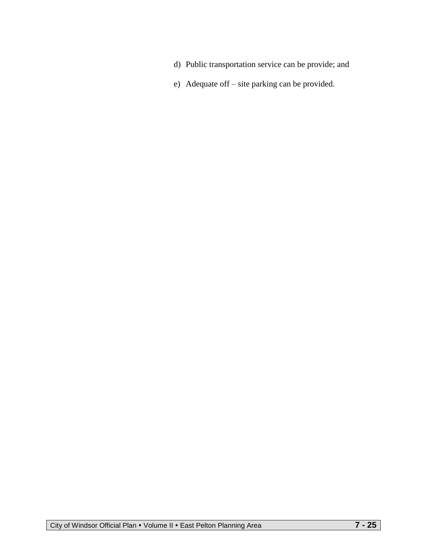- d) Public transportation service can be provide; and
- e) Adequate off site parking can be provided.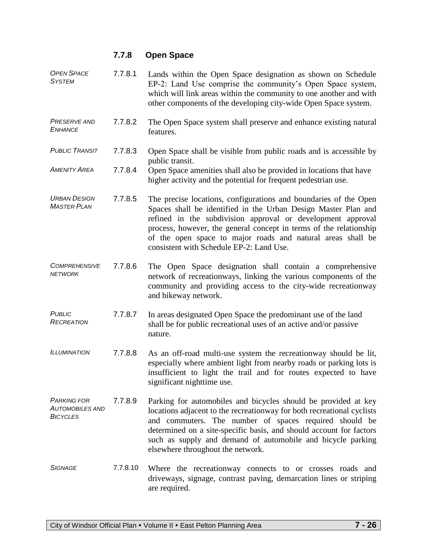# **7.7.8 Open Space**

| <b>OPEN SPACE</b><br><b>SYSTEM</b>                              | 7.7.8.1  | Lands within the Open Space designation as shown on Schedule<br>EP-2: Land Use comprise the community's Open Space system,<br>which will link areas within the community to one another and with<br>other components of the developing city-wide Open Space system.                                                                                                                |
|-----------------------------------------------------------------|----------|------------------------------------------------------------------------------------------------------------------------------------------------------------------------------------------------------------------------------------------------------------------------------------------------------------------------------------------------------------------------------------|
| <b>PRESERVE AND</b><br><b>ENHANCE</b>                           | 7.7.8.2  | The Open Space system shall preserve and enhance existing natural<br>features.                                                                                                                                                                                                                                                                                                     |
| <b>PUBLIC TRANSIT</b>                                           | 7.7.8.3  | Open Space shall be visible from public roads and is accessible by<br>public transit.                                                                                                                                                                                                                                                                                              |
| <b>AMENITY AREA</b>                                             | 7.7.8.4  | Open Space amenities shall also be provided in locations that have<br>higher activity and the potential for frequent pedestrian use.                                                                                                                                                                                                                                               |
| <b>URBAN DESIGN</b><br><b>MASTER PLAN</b>                       | 7.7.8.5  | The precise locations, configurations and boundaries of the Open<br>Spaces shall be identified in the Urban Design Master Plan and<br>refined in the subdivision approval or development approval<br>process, however, the general concept in terms of the relationship<br>of the open space to major roads and natural areas shall be<br>consistent with Schedule EP-2: Land Use. |
| <b>COMPREHENSIVE</b><br><b>NETWORK</b>                          | 7.7.8.6  | The Open Space designation shall contain a comprehensive<br>network of recreationways, linking the various components of the<br>community and providing access to the city-wide recreationway<br>and bikeway network.                                                                                                                                                              |
| <b>PUBLIC</b><br><b>RECREATION</b>                              | 7.7.8.7  | In areas designated Open Space the predominant use of the land<br>shall be for public recreational uses of an active and/or passive<br>nature.                                                                                                                                                                                                                                     |
| <b>ILLUMINATION</b>                                             | 7.7.8.8  | As an off-road multi-use system the recreationway should be lit,<br>especially where ambient light from nearby roads or parking lots is<br>insufficient to light the trail and for routes expected to have<br>significant nighttime use.                                                                                                                                           |
| <b>PARKING FOR</b><br><b>AUTOMOBILES AND</b><br><b>BICYCLES</b> | 7.7.8.9  | Parking for automobiles and bicycles should be provided at key<br>locations adjacent to the recreationway for both recreational cyclists<br>and commuters. The number of spaces required should be<br>determined on a site-specific basis, and should account for factors<br>such as supply and demand of automobile and bicycle parking<br>elsewhere throughout the network.      |
| <b>SIGNAGE</b>                                                  | 7.7.8.10 | Where the recreationway connects to or crosses roads and<br>driveways, signage, contrast paving, demarcation lines or striping<br>are required.                                                                                                                                                                                                                                    |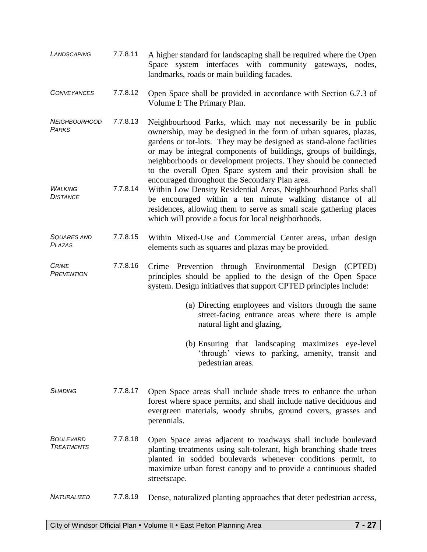| LANDSCAPING                         | 7.7.8.11 | A higher standard for landscaping shall be required where the Open<br>Space system interfaces with community gateways, nodes,<br>landmarks, roads or main building facades.                                                                                                                                                                                                                                                                                      |
|-------------------------------------|----------|------------------------------------------------------------------------------------------------------------------------------------------------------------------------------------------------------------------------------------------------------------------------------------------------------------------------------------------------------------------------------------------------------------------------------------------------------------------|
| <b>CONVEYANCES</b>                  | 7.7.8.12 | Open Space shall be provided in accordance with Section 6.7.3 of<br>Volume I: The Primary Plan.                                                                                                                                                                                                                                                                                                                                                                  |
| <b>NEIGHBOURHOOD</b><br>PARKS       | 7.7.8.13 | Neighbourhood Parks, which may not necessarily be in public<br>ownership, may be designed in the form of urban squares, plazas,<br>gardens or tot-lots. They may be designed as stand-alone facilities<br>or may be integral components of buildings, groups of buildings,<br>neighborhoods or development projects. They should be connected<br>to the overall Open Space system and their provision shall be<br>encouraged throughout the Secondary Plan area. |
| <b>WALKING</b><br><b>DISTANCE</b>   | 7.7.8.14 | Within Low Density Residential Areas, Neighbourhood Parks shall<br>be encouraged within a ten minute walking distance of all<br>residences, allowing them to serve as small scale gathering places<br>which will provide a focus for local neighborhoods.                                                                                                                                                                                                        |
| <b>SQUARES AND</b><br><b>PLAZAS</b> | 7.7.8.15 | Within Mixed-Use and Commercial Center areas, urban design<br>elements such as squares and plazas may be provided.                                                                                                                                                                                                                                                                                                                                               |
| <b>CRIME</b><br><b>PREVENTION</b>   | 7.7.8.16 | Crime Prevention through Environmental Design (CPTED)<br>principles should be applied to the design of the Open Space<br>system. Design initiatives that support CPTED principles include:                                                                                                                                                                                                                                                                       |
|                                     |          | (a) Directing employees and visitors through the same<br>street-facing entrance areas where there is ample<br>natural light and glazing,                                                                                                                                                                                                                                                                                                                         |
|                                     |          | (b) Ensuring that landscaping maximizes eye-level<br>'through' views to parking, amenity, transit and<br>pedestrian areas.                                                                                                                                                                                                                                                                                                                                       |
| <b>SHADING</b>                      | 7.7.8.17 | Open Space areas shall include shade trees to enhance the urban<br>forest where space permits, and shall include native deciduous and<br>evergreen materials, woody shrubs, ground covers, grasses and<br>perennials.                                                                                                                                                                                                                                            |
| BOULEVARD<br><b>TREATMENTS</b>      | 7.7.8.18 | Open Space areas adjacent to roadways shall include boulevard<br>planting treatments using salt-tolerant, high branching shade trees<br>planted in sodded boulevards whenever conditions permit, to<br>maximize urban forest canopy and to provide a continuous shaded<br>streetscape.                                                                                                                                                                           |
| NATURALIZED                         | 7.7.8.19 | Dense, naturalized planting approaches that deter pedestrian access,                                                                                                                                                                                                                                                                                                                                                                                             |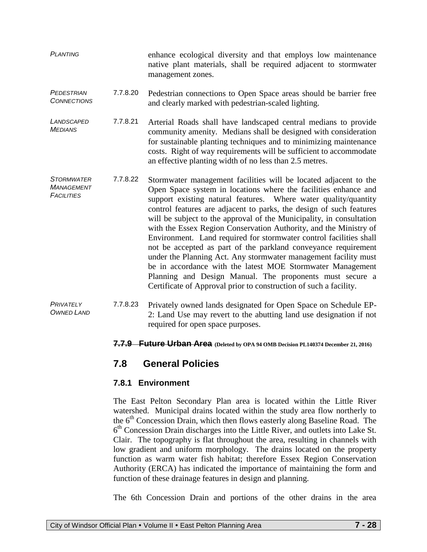| <b>PLANTING</b>                                             |          | enhance ecological diversity and that employs low maintenance<br>native plant materials, shall be required adjacent to stormwater<br>management zones.                                                                                                                                                                                                                                                                                                                                                                                                                                                                                                                                                                                                                                                                               |
|-------------------------------------------------------------|----------|--------------------------------------------------------------------------------------------------------------------------------------------------------------------------------------------------------------------------------------------------------------------------------------------------------------------------------------------------------------------------------------------------------------------------------------------------------------------------------------------------------------------------------------------------------------------------------------------------------------------------------------------------------------------------------------------------------------------------------------------------------------------------------------------------------------------------------------|
| PEDESTRIAN<br><b>CONNECTIONS</b>                            | 7.7.8.20 | Pedestrian connections to Open Space areas should be barrier free<br>and clearly marked with pedestrian-scaled lighting.                                                                                                                                                                                                                                                                                                                                                                                                                                                                                                                                                                                                                                                                                                             |
| LANDSCAPED<br><b>MEDIANS</b>                                | 7.7.8.21 | Arterial Roads shall have landscaped central medians to provide<br>community amenity. Medians shall be designed with consideration<br>for sustainable planting techniques and to minimizing maintenance<br>costs. Right of way requirements will be sufficient to accommodate<br>an effective planting width of no less than 2.5 metres.                                                                                                                                                                                                                                                                                                                                                                                                                                                                                             |
| <b>STORMWATER</b><br><b>MANAGEMENT</b><br><b>FACILITIES</b> | 7.7.8.22 | Stormwater management facilities will be located adjacent to the<br>Open Space system in locations where the facilities enhance and<br>support existing natural features. Where water quality/quantity<br>control features are adjacent to parks, the design of such features<br>will be subject to the approval of the Municipality, in consultation<br>with the Essex Region Conservation Authority, and the Ministry of<br>Environment. Land required for stormwater control facilities shall<br>not be accepted as part of the parkland conveyance requirement<br>under the Planning Act. Any stormwater management facility must<br>be in accordance with the latest MOE Stormwater Management<br>Planning and Design Manual. The proponents must secure a<br>Certificate of Approval prior to construction of such a facility. |
| PRIVATELY<br><b>OWNED LAND</b>                              | 7.7.8.23 | Privately owned lands designated for Open Space on Schedule EP-<br>2: Land Use may revert to the abutting land use designation if not<br>required for open space purposes.                                                                                                                                                                                                                                                                                                                                                                                                                                                                                                                                                                                                                                                           |

#### **7.7.9 Future Urban Area (Deleted by OPA 94 OMB Decision PL140374 December 21, 2016)**

# **7.8 General Policies**

## **7.8.1 Environment**

The East Pelton Secondary Plan area is located within the Little River watershed. Municipal drains located within the study area flow northerly to the 6<sup>th</sup> Concession Drain, which then flows easterly along Baseline Road. The 6<sup>th</sup> Concession Drain discharges into the Little River, and outlets into Lake St. Clair. The topography is flat throughout the area, resulting in channels with low gradient and uniform morphology. The drains located on the property function as warm water fish habitat; therefore Essex Region Conservation Authority (ERCA) has indicated the importance of maintaining the form and function of these drainage features in design and planning.

The 6th Concession Drain and portions of the other drains in the area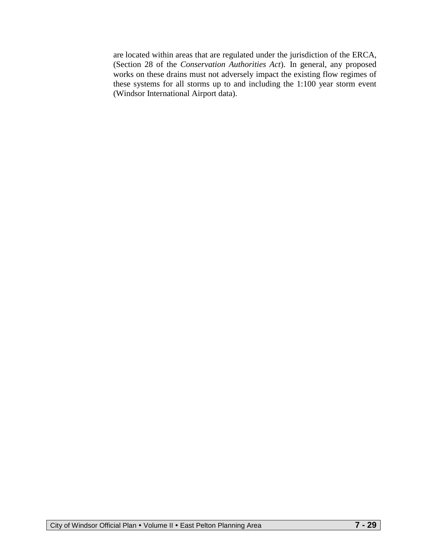are located within areas that are regulated under the jurisdiction of the ERCA, (Section 28 of the *Conservation Authorities Act*). In general, any proposed works on these drains must not adversely impact the existing flow regimes of these systems for all storms up to and including the 1:100 year storm event (Windsor International Airport data).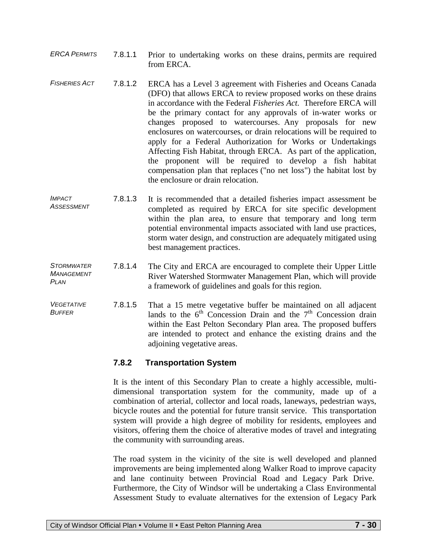- *ERCA PERMITS* 7.8.1.1 Prior to undertaking works on these drains, permits are required from ERCA.
- *FISHERIES ACT* 7.8.1.2 ERCA has a Level 3 agreement with Fisheries and Oceans Canada (DFO) that allows ERCA to review proposed works on these drains in accordance with the Federal *Fisheries Act.* Therefore ERCA will be the primary contact for any approvals of in-water works or changes proposed to watercourses. Any proposals for new enclosures on watercourses, or drain relocations will be required to apply for a Federal Authorization for Works or Undertakings Affecting Fish Habitat, through ERCA. As part of the application, the proponent will be required to develop a fish habitat compensation plan that replaces ("no net loss") the habitat lost by the enclosure or drain relocation.
- *IMPACT ASSESSMENT*  7.8.1.3 It is recommended that a detailed fisheries impact assessment be completed as required by ERCA for site specific development within the plan area, to ensure that temporary and long term potential environmental impacts associated with land use practices, storm water design, and construction are adequately mitigated using best management practices.
- *STORMWATER MANAGEMENT PLAN*  7.8.1.4 The City and ERCA are encouraged to complete their Upper Little River Watershed Stormwater Management Plan, which will provide a framework of guidelines and goals for this region.
- *VEGETATIVE BUFFER*  7.8.1.5 That a 15 metre vegetative buffer be maintained on all adjacent lands to the  $6<sup>th</sup>$  Concession Drain and the  $7<sup>th</sup>$  Concession drain within the East Pelton Secondary Plan area. The proposed buffers are intended to protect and enhance the existing drains and the adjoining vegetative areas.

## **7.8.2 Transportation System**

It is the intent of this Secondary Plan to create a highly accessible, multidimensional transportation system for the community, made up of a combination of arterial, collector and local roads, laneways, pedestrian ways, bicycle routes and the potential for future transit service. This transportation system will provide a high degree of mobility for residents, employees and visitors, offering them the choice of alterative modes of travel and integrating the community with surrounding areas.

The road system in the vicinity of the site is well developed and planned improvements are being implemented along Walker Road to improve capacity and lane continuity between Provincial Road and Legacy Park Drive. Furthermore, the City of Windsor will be undertaking a Class Environmental Assessment Study to evaluate alternatives for the extension of Legacy Park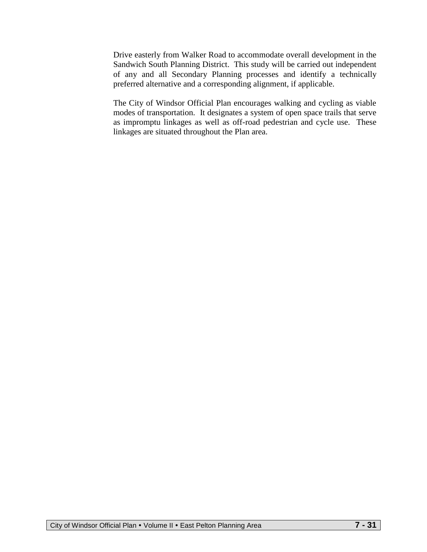Drive easterly from Walker Road to accommodate overall development in the Sandwich South Planning District. This study will be carried out independent of any and all Secondary Planning processes and identify a technically preferred alternative and a corresponding alignment, if applicable.

The City of Windsor Official Plan encourages walking and cycling as viable modes of transportation. It designates a system of open space trails that serve as impromptu linkages as well as off-road pedestrian and cycle use. These linkages are situated throughout the Plan area.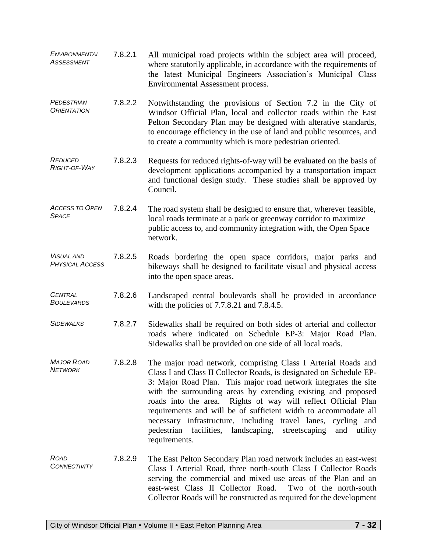| <b>ENVIRONMENTAL</b><br><b>ASSESSMENT</b>   | 7.8.2.1 | All municipal road projects within the subject area will proceed,<br>where statutorily applicable, in accordance with the requirements of<br>the latest Municipal Engineers Association's Municipal Class<br>Environmental Assessment process.                                                                                                                                                                                                                                                                                                                           |
|---------------------------------------------|---------|--------------------------------------------------------------------------------------------------------------------------------------------------------------------------------------------------------------------------------------------------------------------------------------------------------------------------------------------------------------------------------------------------------------------------------------------------------------------------------------------------------------------------------------------------------------------------|
| PEDESTRIAN<br><b>ORIENTATION</b>            | 7.8.2.2 | Notwithstanding the provisions of Section 7.2 in the City of<br>Windsor Official Plan, local and collector roads within the East<br>Pelton Secondary Plan may be designed with alterative standards,<br>to encourage efficiency in the use of land and public resources, and<br>to create a community which is more pedestrian oriented.                                                                                                                                                                                                                                 |
| <b>REDUCED</b><br>RIGHT-OF-WAY              | 7.8.2.3 | Requests for reduced rights-of-way will be evaluated on the basis of<br>development applications accompanied by a transportation impact<br>and functional design study. These studies shall be approved by<br>Council.                                                                                                                                                                                                                                                                                                                                                   |
| <b>ACCESS TO OPEN</b><br><b>SPACE</b>       | 7.8.2.4 | The road system shall be designed to ensure that, wherever feasible,<br>local roads terminate at a park or greenway corridor to maximize<br>public access to, and community integration with, the Open Space<br>network.                                                                                                                                                                                                                                                                                                                                                 |
| <b>VISUAL AND</b><br><b>PHYSICAL ACCESS</b> | 7.8.2.5 | Roads bordering the open space corridors, major parks and<br>bikeways shall be designed to facilitate visual and physical access<br>into the open space areas.                                                                                                                                                                                                                                                                                                                                                                                                           |
| <b>CENTRAL</b><br><b>BOULEVARDS</b>         | 7.8.2.6 | Landscaped central boulevards shall be provided in accordance<br>with the policies of 7.7.8.21 and 7.8.4.5.                                                                                                                                                                                                                                                                                                                                                                                                                                                              |
| <b>SIDEWALKS</b>                            | 7.8.2.7 | Sidewalks shall be required on both sides of arterial and collector<br>roads where indicated on Schedule EP-3: Major Road Plan.<br>Sidewalks shall be provided on one side of all local roads.                                                                                                                                                                                                                                                                                                                                                                           |
| <b>MAJOR ROAD</b><br><b>NETWORK</b>         | 7.8.2.8 | The major road network, comprising Class I Arterial Roads and<br>Class I and Class II Collector Roads, is designated on Schedule EP-<br>3: Major Road Plan. This major road network integrates the site<br>with the surrounding areas by extending existing and proposed<br>roads into the area. Rights of way will reflect Official Plan<br>requirements and will be of sufficient width to accommodate all<br>necessary infrastructure, including travel lanes, cycling and<br>pedestrian facilities, landscaping,<br>streetscaping<br>and<br>utility<br>requirements. |
| <b>ROAD</b><br>CONNECTIVITY                 | 7.8.2.9 | The East Pelton Secondary Plan road network includes an east-west<br>Class I Arterial Road, three north-south Class I Collector Roads<br>serving the commercial and mixed use areas of the Plan and an<br>east-west Class II Collector Road.<br>Two of the north-south<br>Collector Roads will be constructed as required for the development                                                                                                                                                                                                                            |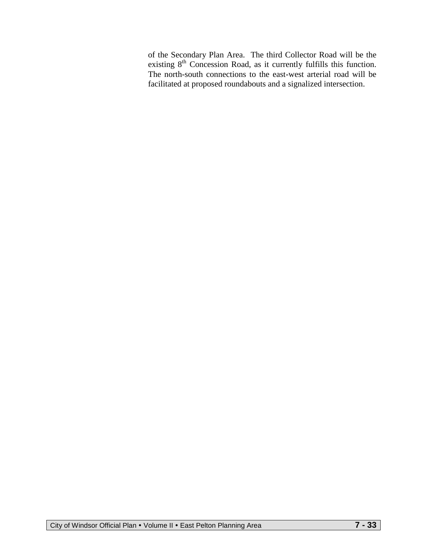of the Secondary Plan Area. The third Collector Road will be the existing  $8<sup>th</sup>$  Concession Road, as it currently fulfills this function. The north-south connections to the east-west arterial road will be facilitated at proposed roundabouts and a signalized intersection.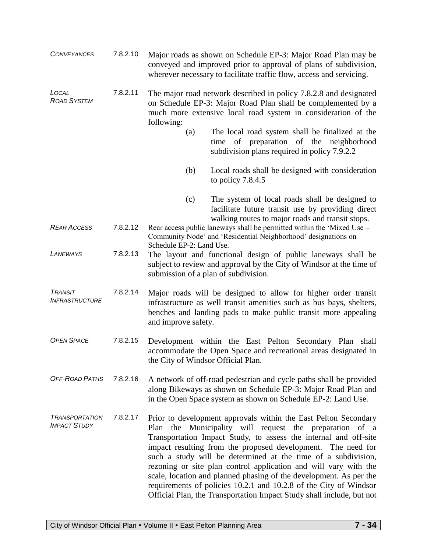| <b>CONVEYANCES</b>                             | 7.8.2.10 | Major roads as shown on Schedule EP-3: Major Road Plan may be<br>conveyed and improved prior to approval of plans of subdivision,<br>wherever necessary to facilitate traffic flow, access and servicing.        |                                                                                                                                                                                                                                                                                                                                                                                                                                                                                                                                                                                                                         |  |  |
|------------------------------------------------|----------|------------------------------------------------------------------------------------------------------------------------------------------------------------------------------------------------------------------|-------------------------------------------------------------------------------------------------------------------------------------------------------------------------------------------------------------------------------------------------------------------------------------------------------------------------------------------------------------------------------------------------------------------------------------------------------------------------------------------------------------------------------------------------------------------------------------------------------------------------|--|--|
| LOCAL<br><b>ROAD SYSTEM</b>                    | 7.8.2.11 | The major road network described in policy 7.8.2.8 and designated<br>on Schedule EP-3: Major Road Plan shall be complemented by a<br>much more extensive local road system in consideration of the<br>following: |                                                                                                                                                                                                                                                                                                                                                                                                                                                                                                                                                                                                                         |  |  |
|                                                |          | (a)                                                                                                                                                                                                              | The local road system shall be finalized at the<br>of preparation of the neighborhood<br>time<br>subdivision plans required in policy 7.9.2.2                                                                                                                                                                                                                                                                                                                                                                                                                                                                           |  |  |
|                                                |          | (b)                                                                                                                                                                                                              | Local roads shall be designed with consideration<br>to policy $7.8.4.5$                                                                                                                                                                                                                                                                                                                                                                                                                                                                                                                                                 |  |  |
|                                                |          | (c)                                                                                                                                                                                                              | The system of local roads shall be designed to<br>facilitate future transit use by providing direct<br>walking routes to major roads and transit stops.                                                                                                                                                                                                                                                                                                                                                                                                                                                                 |  |  |
| <b>REAR ACCESS</b>                             | 7.8.2.12 | Rear access public laneways shall be permitted within the 'Mixed Use –<br>Community Node' and 'Residential Neighborhood' designations on                                                                         |                                                                                                                                                                                                                                                                                                                                                                                                                                                                                                                                                                                                                         |  |  |
| <b>LANEWAYS</b>                                | 7.8.2.13 | Schedule EP-2: Land Use.<br>The layout and functional design of public laneways shall be<br>subject to review and approval by the City of Windsor at the time of<br>submission of a plan of subdivision.         |                                                                                                                                                                                                                                                                                                                                                                                                                                                                                                                                                                                                                         |  |  |
| <b>TRANSIT</b><br><i><b>INFRASTRUCTURE</b></i> | 7.8.2.14 | and improve safety.                                                                                                                                                                                              | Major roads will be designed to allow for higher order transit<br>infrastructure as well transit amenities such as bus bays, shelters,<br>benches and landing pads to make public transit more appealing                                                                                                                                                                                                                                                                                                                                                                                                                |  |  |
| <b>OPEN SPACE</b>                              | 7.8.2.15 | the City of Windsor Official Plan.                                                                                                                                                                               | Development within the East Pelton Secondary Plan shall<br>accommodate the Open Space and recreational areas designated in                                                                                                                                                                                                                                                                                                                                                                                                                                                                                              |  |  |
| OFF-ROAD PATHS                                 | 7.8.2.16 |                                                                                                                                                                                                                  | A network of off-road pedestrian and cycle paths shall be provided<br>along Bikeways as shown on Schedule EP-3: Major Road Plan and<br>in the Open Space system as shown on Schedule EP-2: Land Use.                                                                                                                                                                                                                                                                                                                                                                                                                    |  |  |
| <b>TRANSPORTATION</b><br><b>IMPACT STUDY</b>   | 7.8.2.17 |                                                                                                                                                                                                                  | Prior to development approvals within the East Pelton Secondary<br>Plan the Municipality will request the preparation of a<br>Transportation Impact Study, to assess the internal and off-site<br>impact resulting from the proposed development. The need for<br>such a study will be determined at the time of a subdivision,<br>rezoning or site plan control application and will vary with the<br>scale, location and planned phasing of the development. As per the<br>requirements of policies 10.2.1 and 10.2.8 of the City of Windsor<br>Official Plan, the Transportation Impact Study shall include, but not |  |  |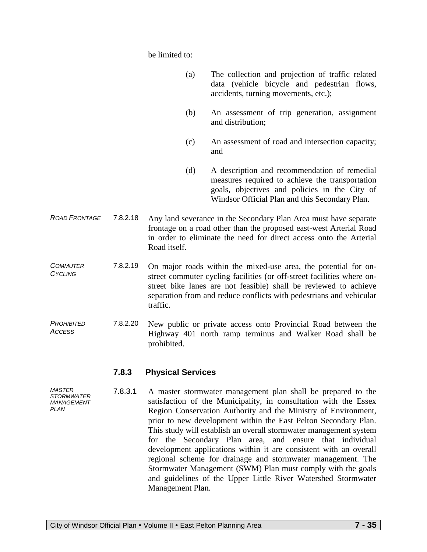be limited to:

- (a) The collection and projection of traffic related data (vehicle bicycle and pedestrian flows, accidents, turning movements, etc.);
- (b) An assessment of trip generation, assignment and distribution;
- (c) An assessment of road and intersection capacity; and
- (d) A description and recommendation of remedial measures required to achieve the transportation goals, objectives and policies in the City of Windsor Official Plan and this Secondary Plan.
- *ROAD FRONTAGE* 7.8.2.18 Any land severance in the Secondary Plan Area must have separate frontage on a road other than the proposed east-west Arterial Road in order to eliminate the need for direct access onto the Arterial Road itself.
- *COMMUTER CYCLING* 7.8.2.19 On major roads within the mixed-use area, the potential for onstreet commuter cycling facilities (or off-street facilities where onstreet bike lanes are not feasible) shall be reviewed to achieve separation from and reduce conflicts with pedestrians and vehicular traffic.
- *PROHIBITED ACCESS* 7.8.2.20 New public or private access onto Provincial Road between the Highway 401 north ramp terminus and Walker Road shall be prohibited.

#### **7.8.3 Physical Services**

7.8.3.1 A master stormwater management plan shall be prepared to the satisfaction of the Municipality, in consultation with the Essex Region Conservation Authority and the Ministry of Environment, prior to new development within the East Pelton Secondary Plan. This study will establish an overall stormwater management system for the Secondary Plan area, and ensure that individual development applications within it are consistent with an overall regional scheme for drainage and stormwater management. The Stormwater Management (SWM) Plan must comply with the goals and guidelines of the Upper Little River Watershed Stormwater Management Plan.

*MASTER STORMWATER MANAGEMENT PLAN*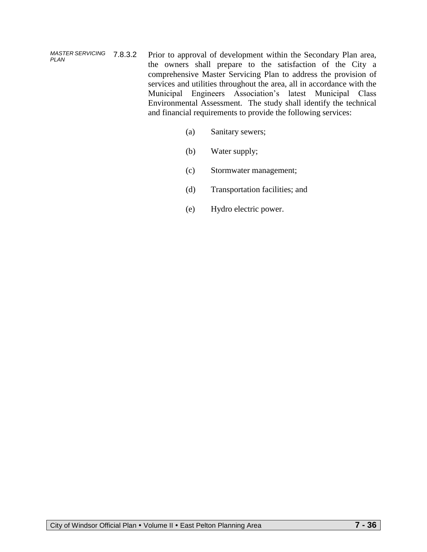*MASTER SERVICING PLAN* Prior to approval of development within the Secondary Plan area, the owners shall prepare to the satisfaction of the City a comprehensive Master Servicing Plan to address the provision of services and utilities throughout the area, all in accordance with the Municipal Engineers Association's latest Municipal Class Environmental Assessment. The study shall identify the technical and financial requirements to provide the following services:

- (a) Sanitary sewers;
- (b) Water supply;
- (c) Stormwater management;
- (d) Transportation facilities; and
- (e) Hydro electric power.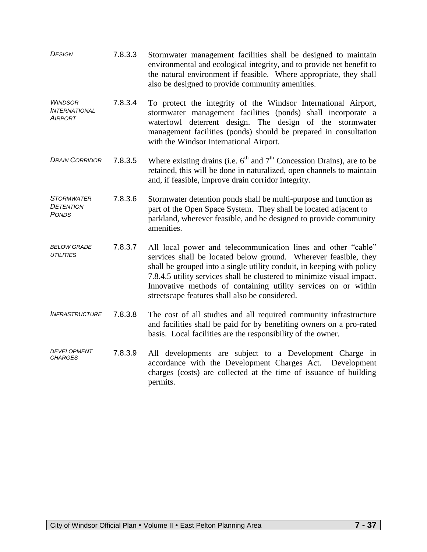| <b>DESIGN</b>                                         | 7.8.3.3 | Stormwater management facilities shall be designed to maintain<br>environmental and ecological integrity, and to provide net benefit to<br>the natural environment if feasible. Where appropriate, they shall<br>also be designed to provide community amenities.                                                                                                                                        |
|-------------------------------------------------------|---------|----------------------------------------------------------------------------------------------------------------------------------------------------------------------------------------------------------------------------------------------------------------------------------------------------------------------------------------------------------------------------------------------------------|
| <b>WINDSOR</b><br><b>INTERNATIONAL</b><br>AIRPORT     | 7.8.3.4 | To protect the integrity of the Windsor International Airport,<br>stormwater management facilities (ponds) shall incorporate a<br>waterfowl deterrent design. The design of the stormwater<br>management facilities (ponds) should be prepared in consultation<br>with the Windsor International Airport.                                                                                                |
| <b>DRAIN CORRIDOR</b>                                 | 7.8.3.5 | Where existing drains (i.e. $6th$ and $7th$ Concession Drains), are to be<br>retained, this will be done in naturalized, open channels to maintain<br>and, if feasible, improve drain corridor integrity.                                                                                                                                                                                                |
| <b>STORMWATER</b><br><b>DETENTION</b><br><b>PONDS</b> | 7.8.3.6 | Stormwater detention ponds shall be multi-purpose and function as<br>part of the Open Space System. They shall be located adjacent to<br>parkland, wherever feasible, and be designed to provide community<br>amenities.                                                                                                                                                                                 |
| <b>BELOW GRADE</b><br><b>UTILITIES</b>                | 7.8.3.7 | All local power and telecommunication lines and other "cable"<br>services shall be located below ground. Wherever feasible, they<br>shall be grouped into a single utility conduit, in keeping with policy<br>7.8.4.5 utility services shall be clustered to minimize visual impact.<br>Innovative methods of containing utility services on or within<br>streetscape features shall also be considered. |
| <b>INFRASTRUCTURE</b>                                 | 7.8.3.8 | The cost of all studies and all required community infrastructure<br>and facilities shall be paid for by benefiting owners on a pro-rated<br>basis. Local facilities are the responsibility of the owner.                                                                                                                                                                                                |
| DEVELOPMENT<br><i>CHARGES</i>                         | 7.8.3.9 | All developments are subject to a Development Charge in<br>accordance with the Development Charges Act. Development<br>charges (costs) are collected at the time of issuance of building<br>permits.                                                                                                                                                                                                     |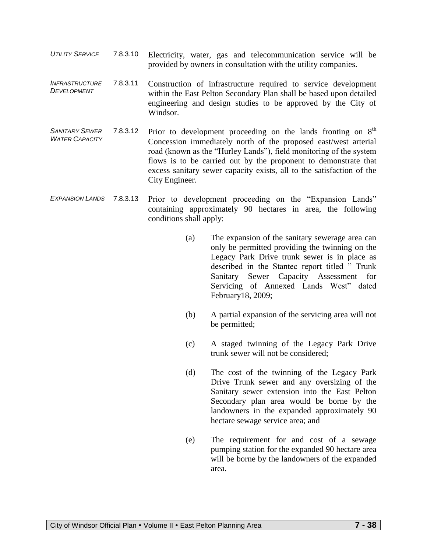- *UTILITY SERVICE* 7.8.3.10 Electricity, water, gas and telecommunication service will be provided by owners in consultation with the utility companies.
- *INFRASTRUCTURE DEVELOPMENT*  7.8.3.11 Construction of infrastructure required to service development within the East Pelton Secondary Plan shall be based upon detailed engineering and design studies to be approved by the City of Windsor.
- *SANITARY SEWER WATER CAPACITY* 7.8.3.12 Prior to development proceeding on the lands fronting on  $8<sup>th</sup>$ Concession immediately north of the proposed east/west arterial road (known as the "Hurley Lands"), field monitoring of the system flows is to be carried out by the proponent to demonstrate that excess sanitary sewer capacity exists, all to the satisfaction of the City Engineer.
- EXPANSION LANDS 7.8.3.13 Prior to development proceeding on the "Expansion Lands" containing approximately 90 hectares in area, the following conditions shall apply:
	- (a) The expansion of the sanitary sewerage area can only be permitted providing the twinning on the Legacy Park Drive trunk sewer is in place as described in the Stantec report titled " Trunk Sanitary Sewer Capacity Assessment for Servicing of Annexed Lands West" dated February18, 2009;
	- (b) A partial expansion of the servicing area will not be permitted;
	- (c) A staged twinning of the Legacy Park Drive trunk sewer will not be considered;
	- (d) The cost of the twinning of the Legacy Park Drive Trunk sewer and any oversizing of the Sanitary sewer extension into the East Pelton Secondary plan area would be borne by the landowners in the expanded approximately 90 hectare sewage service area; and
	- (e) The requirement for and cost of a sewage pumping station for the expanded 90 hectare area will be borne by the landowners of the expanded area.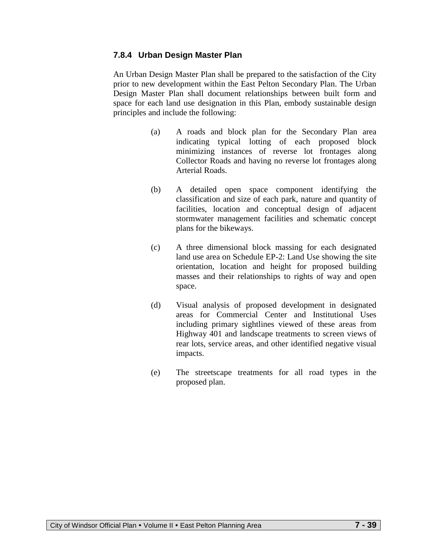#### **7.8.4 Urban Design Master Plan**

An Urban Design Master Plan shall be prepared to the satisfaction of the City prior to new development within the East Pelton Secondary Plan. The Urban Design Master Plan shall document relationships between built form and space for each land use designation in this Plan, embody sustainable design principles and include the following:

- (a) A roads and block plan for the Secondary Plan area indicating typical lotting of each proposed block minimizing instances of reverse lot frontages along Collector Roads and having no reverse lot frontages along Arterial Roads.
- (b) A detailed open space component identifying the classification and size of each park, nature and quantity of facilities, location and conceptual design of adjacent stormwater management facilities and schematic concept plans for the bikeways.
- (c) A three dimensional block massing for each designated land use area on Schedule EP-2: Land Use showing the site orientation, location and height for proposed building masses and their relationships to rights of way and open space.
- (d) Visual analysis of proposed development in designated areas for Commercial Center and Institutional Uses including primary sightlines viewed of these areas from Highway 401 and landscape treatments to screen views of rear lots, service areas, and other identified negative visual impacts.
- (e) The streetscape treatments for all road types in the proposed plan.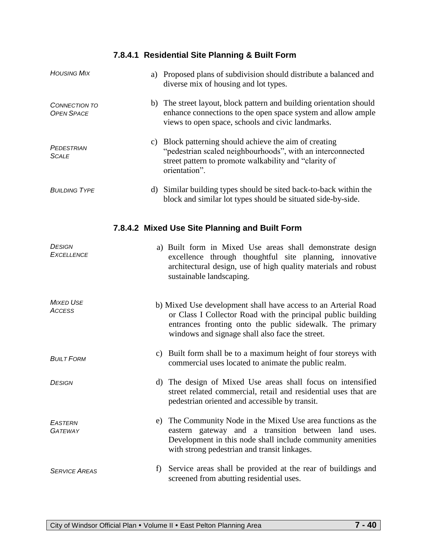# **7.8.4.1 Residential Site Planning & Built Form**

| <b>HOUSING MIX</b>                             | a) Proposed plans of subdivision should distribute a balanced and<br>diverse mix of housing and lot types.                                                                                                                                    |  |  |  |  |
|------------------------------------------------|-----------------------------------------------------------------------------------------------------------------------------------------------------------------------------------------------------------------------------------------------|--|--|--|--|
| <b>CONNECTION TO</b><br><b>OPEN SPACE</b>      | b) The street layout, block pattern and building orientation should<br>enhance connections to the open space system and allow ample<br>views to open space, schools and civic landmarks.                                                      |  |  |  |  |
| PEDESTRIAN<br><b>SCALE</b>                     | c) Block patterning should achieve the aim of creating<br>"pedestrian scaled neighbourhoods", with an interconnected<br>street pattern to promote walkability and "clarity of<br>orientation".                                                |  |  |  |  |
| <b>BUILDING TYPE</b>                           | d) Similar building types should be sited back-to-back within the<br>block and similar lot types should be situated side-by-side.                                                                                                             |  |  |  |  |
| 7.8.4.2 Mixed Use Site Planning and Built Form |                                                                                                                                                                                                                                               |  |  |  |  |
| <b>DESIGN</b><br><b>EXCELLENCE</b>             | a) Built form in Mixed Use areas shall demonstrate design<br>excellence through thoughtful site planning, innovative<br>architectural design, use of high quality materials and robust<br>sustainable landscaping.                            |  |  |  |  |
| <b>MIXED USE</b><br><b>ACCESS</b>              | b) Mixed Use development shall have access to an Arterial Road<br>or Class I Collector Road with the principal public building<br>entrances fronting onto the public sidewalk. The primary<br>windows and signage shall also face the street. |  |  |  |  |
| <b>BUILT FORM</b>                              | c) Built form shall be to a maximum height of four storeys with<br>commercial uses located to animate the public realm.                                                                                                                       |  |  |  |  |
| <b>DESIGN</b>                                  | d) The design of Mixed Use areas shall focus on intensified<br>street related commercial, retail and residential uses that are<br>pedestrian oriented and accessible by transit.                                                              |  |  |  |  |
| <b>EASTERN</b><br><b>GATEWAY</b>               | The Community Node in the Mixed Use area functions as the<br>e)<br>eastern gateway and a transition between land uses.<br>Development in this node shall include community amenities<br>with strong pedestrian and transit linkages.          |  |  |  |  |
| <b>SERVICE AREAS</b>                           | Service areas shall be provided at the rear of buildings and<br>$\ddot{\phantom{1}}$<br>screened from abutting residential uses.                                                                                                              |  |  |  |  |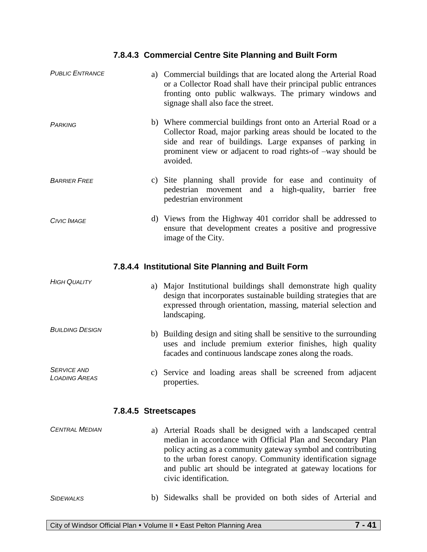# **7.8.4.3 Commercial Centre Site Planning and Built Form**

| <b>PUBLIC ENTRANCE</b>                             |  |  | a) Commercial buildings that are located along the Arterial Road<br>or a Collector Road shall have their principal public entrances<br>fronting onto public walkways. The primary windows and<br>signage shall also face the street.                                  |  |  |
|----------------------------------------------------|--|--|-----------------------------------------------------------------------------------------------------------------------------------------------------------------------------------------------------------------------------------------------------------------------|--|--|
| PARKING                                            |  |  | b) Where commercial buildings front onto an Arterial Road or a<br>Collector Road, major parking areas should be located to the<br>side and rear of buildings. Large expanses of parking in<br>prominent view or adjacent to road rights-of -way should be<br>avoided. |  |  |
| <b>BARRIER FREE</b>                                |  |  | c) Site planning shall provide for ease and continuity of<br>pedestrian movement and a high-quality, barrier free<br>pedestrian environment                                                                                                                           |  |  |
| <b>CIVIC IMAGE</b>                                 |  |  | d) Views from the Highway 401 corridor shall be addressed to<br>ensure that development creates a positive and progressive<br>image of the City.                                                                                                                      |  |  |
| 7.8.4.4 Institutional Site Planning and Built Form |  |  |                                                                                                                                                                                                                                                                       |  |  |
| <b>HIGH QUALITY</b>                                |  |  | a) Major Institutional buildings shall demonstrate high quality<br>design that incorporates sustainable building strategies that are<br>expressed through orientation, massing, material selection and<br>landscaping.                                                |  |  |
| <b>BUILDING DESIGN</b>                             |  |  | b) Building design and siting shall be sensitive to the surrounding<br>uses and include premium exterior finishes, high quality<br>facades and continuous landscape zones along the roads.                                                                            |  |  |
| <b>SERVICE AND</b><br><i><b>LOADING AREAS</b></i>  |  |  | c) Service and loading areas shall be screened from adjacent<br>properties.                                                                                                                                                                                           |  |  |
|                                                    |  |  | 7.8.4.5 Streetscapes                                                                                                                                                                                                                                                  |  |  |
| <b>CENTRAL MEDIAN</b>                              |  |  | a) Arterial Roads shall be designed with a landscaped central<br>median in accordance with Official Plan and Secondary Plan<br>policy acting as a community gateway symbol and contributing<br>to the urban forest canopy. Community identification signage           |  |  |

#### *SIDEWALKS* b) Sidewalks shall be provided on both sides of Arterial and

civic identification.

and public art should be integrated at gateway locations for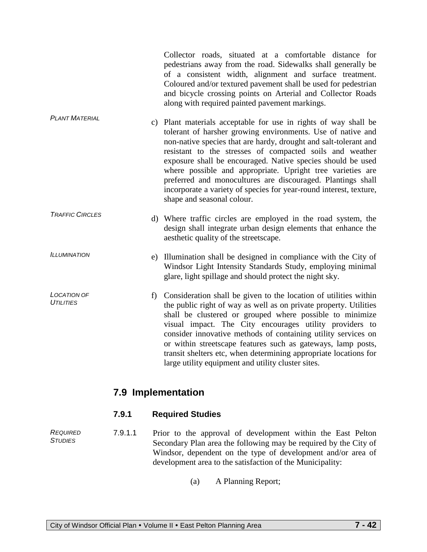Collector roads, situated at a comfortable distance for pedestrians away from the road. Sidewalks shall generally be of a consistent width, alignment and surface treatment. Coloured and/or textured pavement shall be used for pedestrian and bicycle crossing points on Arterial and Collector Roads along with required painted pavement markings.

- *PLANT MATERIAL* c) Plant materials acceptable for use in rights of way shall be tolerant of harsher growing environments. Use of native and non-native species that are hardy, drought and salt-tolerant and resistant to the stresses of compacted soils and weather exposure shall be encouraged. Native species should be used where possible and appropriate. Upright tree varieties are preferred and monocultures are discouraged. Plantings shall incorporate a variety of species for year-round interest, texture, shape and seasonal colour.
- *TRAFFIC CIRCLES* d) Where traffic circles are employed in the road system, the design shall integrate urban design elements that enhance the aesthetic quality of the streetscape.
	- e) Illumination shall be designed in compliance with the City of Windsor Light Intensity Standards Study, employing minimal glare, light spillage and should protect the night sky.
- *LOCATION OF UTILITIES*  f) Consideration shall be given to the location of utilities within the public right of way as well as on private property. Utilities shall be clustered or grouped where possible to minimize visual impact. The City encourages utility providers to consider innovative methods of containing utility services on or within streetscape features such as gateways, lamp posts, transit shelters etc, when determining appropriate locations for large utility equipment and utility cluster sites.

# **7.9 Implementation**

## **7.9.1 Required Studies**

*REQUIRED STUDIES* 7.9.1.1 Prior to the approval of development within the East Pelton Secondary Plan area the following may be required by the City of Windsor, dependent on the type of development and/or area of development area to the satisfaction of the Municipality:

(a) A Planning Report;

*ILLUMINATION*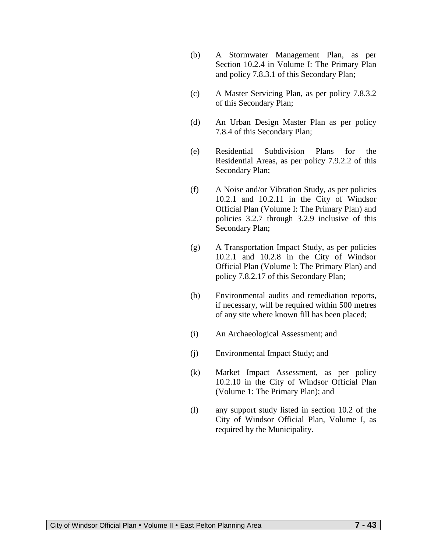- (b) A Stormwater Management Plan, as per Section 10.2.4 in Volume I: The Primary Plan and policy 7.8.3.1 of this Secondary Plan;
- (c) A Master Servicing Plan, as per policy 7.8.3.2 of this Secondary Plan;
- (d) An Urban Design Master Plan as per policy 7.8.4 of this Secondary Plan;
- (e) Residential Subdivision Plans for the Residential Areas, as per policy 7.9.2.2 of this Secondary Plan;
- (f) A Noise and/or Vibration Study, as per policies 10.2.1 and 10.2.11 in the City of Windsor Official Plan (Volume I: The Primary Plan) and policies 3.2.7 through 3.2.9 inclusive of this Secondary Plan;
- (g) A Transportation Impact Study, as per policies 10.2.1 and 10.2.8 in the City of Windsor Official Plan (Volume I: The Primary Plan) and policy 7.8.2.17 of this Secondary Plan;
- (h) Environmental audits and remediation reports, if necessary, will be required within 500 metres of any site where known fill has been placed;
- (i) An Archaeological Assessment; and
- (j) Environmental Impact Study; and
- (k) Market Impact Assessment, as per policy 10.2.10 in the City of Windsor Official Plan (Volume 1: The Primary Plan); and
- (l) any support study listed in section 10.2 of the City of Windsor Official Plan, Volume I, as required by the Municipality.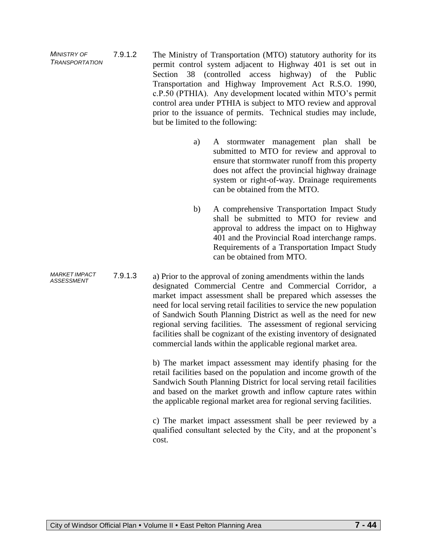*MINISTRY OF TRANSPORTATION*  7.9.1.2 The Ministry of Transportation (MTO) statutory authority for its permit control system adjacent to Highway 401 is set out in Section 38 (controlled access highway) of the Public Transportation and Highway Improvement Act R.S.O. 1990, c.P.50 (PTHIA). Any development located within MTO's permit control area under PTHIA is subject to MTO review and approval prior to the issuance of permits. Technical studies may include, but be limited to the following:

- a) A stormwater management plan shall be submitted to MTO for review and approval to ensure that stormwater runoff from this property does not affect the provincial highway drainage system or right-of-way. Drainage requirements can be obtained from the MTO.
- b) A comprehensive Transportation Impact Study shall be submitted to MTO for review and approval to address the impact on to Highway 401 and the Provincial Road interchange ramps. Requirements of a Transportation Impact Study can be obtained from MTO.

7.9.1.3 a) Prior to the approval of zoning amendments within the lands designated Commercial Centre and Commercial Corridor, a market impact assessment shall be prepared which assesses the need for local serving retail facilities to service the new population of Sandwich South Planning District as well as the need for new regional serving facilities. The assessment of regional servicing facilities shall be cognizant of the existing inventory of designated commercial lands within the applicable regional market area.

> b) The market impact assessment may identify phasing for the retail facilities based on the population and income growth of the Sandwich South Planning District for local serving retail facilities and based on the market growth and inflow capture rates within the applicable regional market area for regional serving facilities.

> c) The market impact assessment shall be peer reviewed by a qualified consultant selected by the City, and at the proponent's cost.

*MARKET IMPACT ASSESSMENT*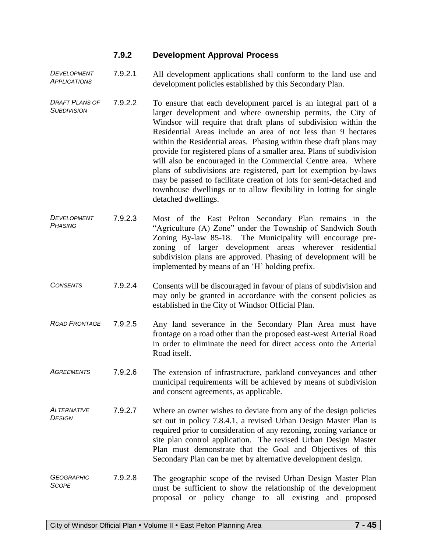## **7.9.2 Development Approval Process**

*DEVELOPMENT APPLICATIONS* 7.9.2.1 All development applications shall conform to the land use and development policies established by this Secondary Plan.

- *DRAFT PLANS OF SUBDIVISION*  7.9.2.2 To ensure that each development parcel is an integral part of a larger development and where ownership permits, the City of Windsor will require that draft plans of subdivision within the Residential Areas include an area of not less than 9 hectares within the Residential areas. Phasing within these draft plans may provide for registered plans of a smaller area. Plans of subdivision will also be encouraged in the Commercial Centre area. Where plans of subdivisions are registered, part lot exemption by-laws may be passed to facilitate creation of lots for semi-detached and townhouse dwellings or to allow flexibility in lotting for single detached dwellings.
- *DEVELOPMENT PHASING* 7.9.2.3 Most of the East Pelton Secondary Plan remains in the "Agriculture (A) Zone" under the Township of Sandwich South Zoning By-law 85-18. The Municipality will encourage prezoning of larger development areas wherever residential subdivision plans are approved. Phasing of development will be implemented by means of an 'H' holding prefix.
- *CONSENTS* 7.9.2.4 Consents will be discouraged in favour of plans of subdivision and may only be granted in accordance with the consent policies as established in the City of Windsor Official Plan.
- *ROAD FRONTAGE* 7.9.2.5 Any land severance in the Secondary Plan Area must have frontage on a road other than the proposed east-west Arterial Road in order to eliminate the need for direct access onto the Arterial Road itself.
- *AGREEMENTS* 7.9.2.6 The extension of infrastructure, parkland conveyances and other municipal requirements will be achieved by means of subdivision and consent agreements, as applicable.
- *ALTERNATIVE DESIGN* 7.9.2.7 Where an owner wishes to deviate from any of the design policies set out in policy 7.8.4.1, a revised Urban Design Master Plan is required prior to consideration of any rezoning, zoning variance or site plan control application. The revised Urban Design Master Plan must demonstrate that the Goal and Objectives of this Secondary Plan can be met by alternative development design.
- *GEOGRAPHIC SCOPE* 7.9.2.8 The geographic scope of the revised Urban Design Master Plan must be sufficient to show the relationship of the development proposal or policy change to all existing and proposed